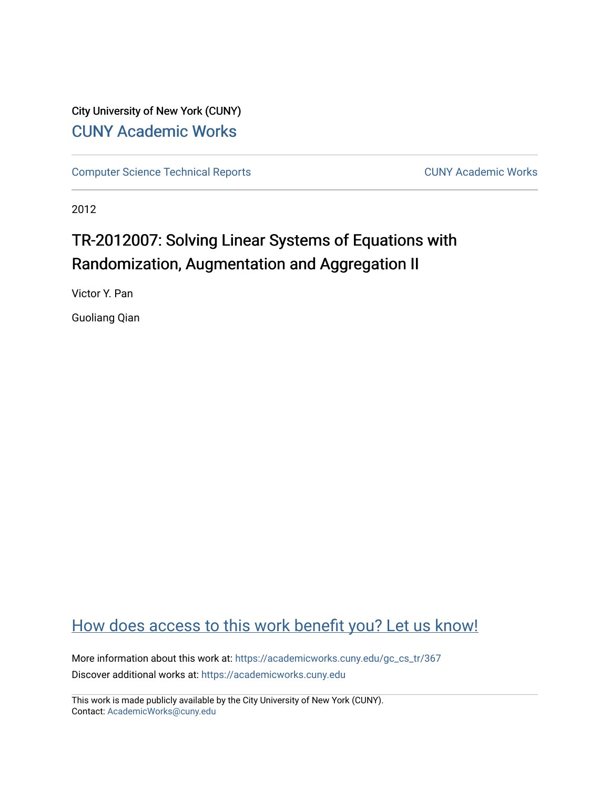# City University of New York (CUNY) [CUNY Academic Works](https://academicworks.cuny.edu/)

[Computer Science Technical Reports](https://academicworks.cuny.edu/gc_cs_tr) **CUNY Academic Works** CUNY Academic Works

2012

# TR-2012007: Solving Linear Systems of Equations with Randomization, Augmentation and Aggregation II

Victor Y. Pan

Guoliang Qian

# [How does access to this work benefit you? Let us know!](http://ols.cuny.edu/academicworks/?ref=https://academicworks.cuny.edu/gc_cs_tr/367)

More information about this work at: https://academicworks.cuny.edu/gc\_cs\_tr/367 Discover additional works at: [https://academicworks.cuny.edu](https://academicworks.cuny.edu/?)

This work is made publicly available by the City University of New York (CUNY). Contact: [AcademicWorks@cuny.edu](mailto:AcademicWorks@cuny.edu)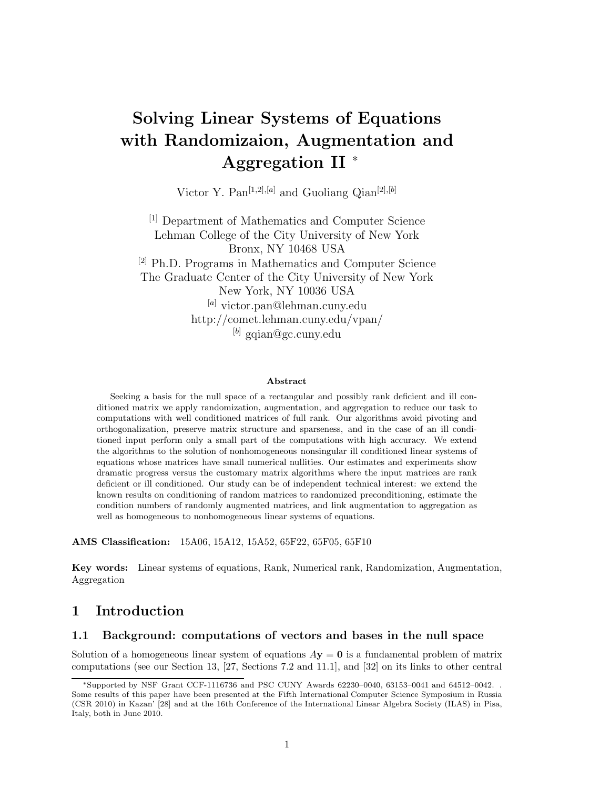# **Solving Linear Systems of Equations with Randomizaion, Augmentation and Aggregation II** <sup>∗</sup>

Victor Y. Pan<sup>[1,2],[a]</sup> and Guoliang Qian<sup>[2],[b]</sup>

[1] Department of Mathematics and Computer Science Lehman College of the City University of New York Bronx, NY 10468 USA [2] Ph.D. Programs in Mathematics and Computer Science The Graduate Center of the City University of New York New York, NY 10036 USA [*a*] victor.pan@lehman.cuny.edu http://comet.lehman.cuny.edu/vpan/ [*b*] gqian@gc.cuny.edu

#### **Abstract**

Seeking a basis for the null space of a rectangular and possibly rank deficient and ill conditioned matrix we apply randomization, augmentation, and aggregation to reduce our task to computations with well conditioned matrices of full rank. Our algorithms avoid pivoting and orthogonalization, preserve matrix structure and sparseness, and in the case of an ill conditioned input perform only a small part of the computations with high accuracy. We extend the algorithms to the solution of nonhomogeneous nonsingular ill conditioned linear systems of equations whose matrices have small numerical nullities. Our estimates and experiments show dramatic progress versus the customary matrix algorithms where the input matrices are rank deficient or ill conditioned. Our study can be of independent technical interest: we extend the known results on conditioning of random matrices to randomized preconditioning, estimate the condition numbers of randomly augmented matrices, and link augmentation to aggregation as well as homogeneous to nonhomogeneous linear systems of equations.

**AMS Classification:** 15A06, 15A12, 15A52, 65F22, 65F05, 65F10

**Key words:** Linear systems of equations, Rank, Numerical rank, Randomization, Augmentation, Aggregation

# **1 Introduction**

## **1.1 Background: computations of vectors and bases in the null space**

Solution of a homogeneous linear system of equations  $A$ **y** = **0** is a fundamental problem of matrix computations (see our Section 13, [27, Sections 7.2 and 11.1], and [32] on its links to other central

<sup>∗</sup>Supported by NSF Grant CCF-1116736 and PSC CUNY Awards 62230–0040, 63153–0041 and 64512–0042. . Some results of this paper have been presented at the Fifth International Computer Science Symposium in Russia (CSR 2010) in Kazan' [28] and at the 16th Conference of the International Linear Algebra Society (ILAS) in Pisa, Italy, both in June 2010.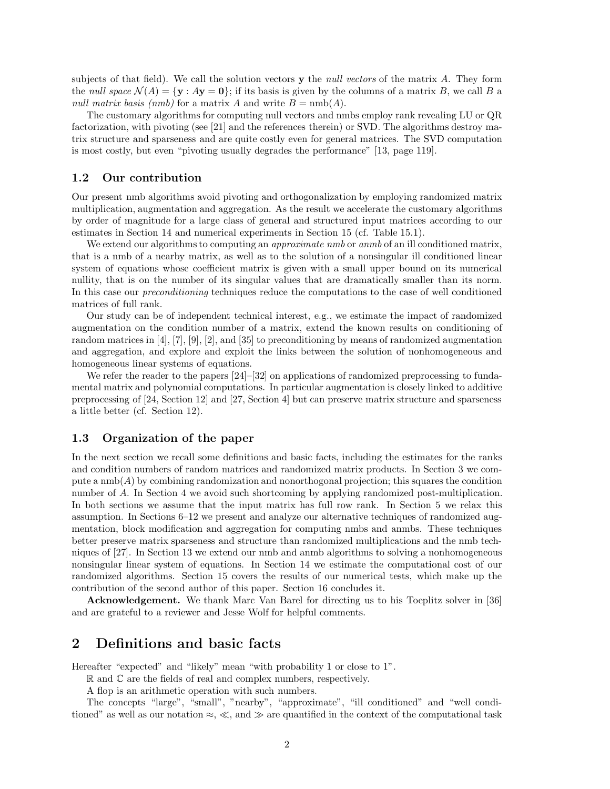subjects of that field). We call the solution vectors **y** the *null vectors* of the matrix *A*. They form the *null space*  $\mathcal{N}(A) = \{ \mathbf{y} : A\mathbf{y} = \mathbf{0} \}$ ; if its basis is given by the columns of a matrix *B*, we call *B* a *null matrix basis (nmb)* for a matrix *A* and write  $B = \text{nmb}(A)$ .

The customary algorithms for computing null vectors and nmbs employ rank revealing LU or QR factorization, with pivoting (see [21] and the references therein) or SVD. The algorithms destroy matrix structure and sparseness and are quite costly even for general matrices. The SVD computation is most costly, but even "pivoting usually degrades the performance" [13, page 119].

## **1.2 Our contribution**

Our present nmb algorithms avoid pivoting and orthogonalization by employing randomized matrix multiplication, augmentation and aggregation. As the result we accelerate the customary algorithms by order of magnitude for a large class of general and structured input matrices according to our estimates in Section 14 and numerical experiments in Section 15 (cf. Table 15.1).

We extend our algorithms to computing an *approximate nmb* or *anmb* of an ill conditioned matrix, that is a nmb of a nearby matrix, as well as to the solution of a nonsingular ill conditioned linear system of equations whose coefficient matrix is given with a small upper bound on its numerical nullity, that is on the number of its singular values that are dramatically smaller than its norm. In this case our *preconditioning* techniques reduce the computations to the case of well conditioned matrices of full rank.

Our study can be of independent technical interest, e.g., we estimate the impact of randomized augmentation on the condition number of a matrix, extend the known results on conditioning of random matrices in [4], [7], [9], [2], and [35] to preconditioning by means of randomized augmentation and aggregation, and explore and exploit the links between the solution of nonhomogeneous and homogeneous linear systems of equations.

We refer the reader to the papers  $[24]$ – $[32]$  on applications of randomized preprocessing to fundamental matrix and polynomial computations. In particular augmentation is closely linked to additive preprocessing of [24, Section 12] and [27, Section 4] but can preserve matrix structure and sparseness a little better (cf. Section 12).

## **1.3 Organization of the paper**

In the next section we recall some definitions and basic facts, including the estimates for the ranks and condition numbers of random matrices and randomized matrix products. In Section 3 we compute a  $\text{nmb}(A)$  by combining randomization and nonorthogonal projection; this squares the condition number of *A*. In Section 4 we avoid such shortcoming by applying randomized post-multiplication. In both sections we assume that the input matrix has full row rank. In Section 5 we relax this assumption. In Sections 6–12 we present and analyze our alternative techniques of randomized augmentation, block modification and aggregation for computing nmbs and anmbs. These techniques better preserve matrix sparseness and structure than randomized multiplications and the nmb techniques of [27]. In Section 13 we extend our nmb and anmb algorithms to solving a nonhomogeneous nonsingular linear system of equations. In Section 14 we estimate the computational cost of our randomized algorithms. Section 15 covers the results of our numerical tests, which make up the contribution of the second author of this paper. Section 16 concludes it.

**Acknowledgement.** We thank Marc Van Barel for directing us to his Toeplitz solver in [36] and are grateful to a reviewer and Jesse Wolf for helpful comments.

# **2 Definitions and basic facts**

Hereafter "expected" and "likely" mean "with probability 1 or close to 1".

 $\mathbb R$  and  $\mathbb C$  are the fields of real and complex numbers, respectively.

A flop is an arithmetic operation with such numbers.

The concepts "large", "small", "nearby", "approximate", "ill conditioned" and "well conditioned" as well as our notation  $\approx$ ,  $\ll$ , and  $\gg$  are quantified in the context of the computational task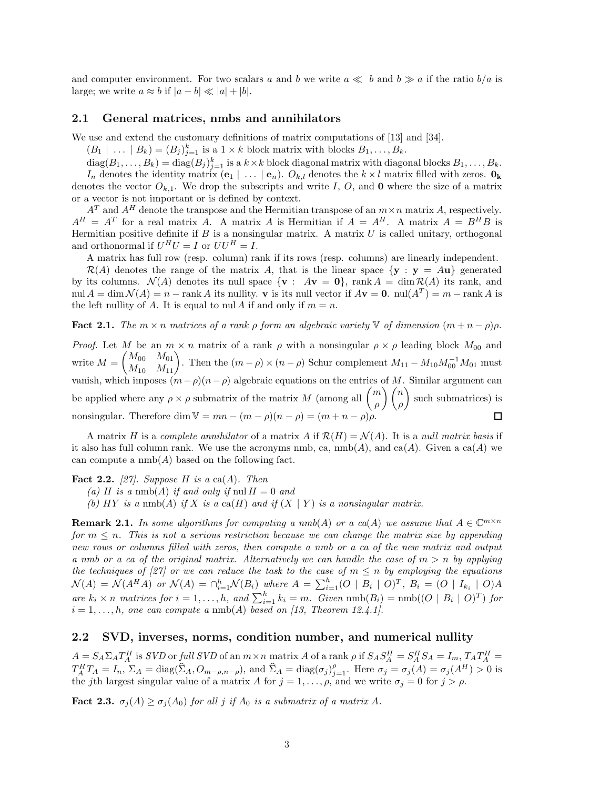and computer environment. For two scalars a and b we write  $a \ll b$  and  $b \gg a$  if the ratio  $b/a$  is large; we write  $a \approx b$  if  $|a - b| \ll |a| + |b|$ .

#### **2.1 General matrices, nmbs and annihilators**

We use and extend the customary definitions of matrix computations of [13] and [34].

 $(B_1 \mid \ldots \mid B_k) = (B_j)_{j=1}^k$  is a  $1 \times k$  block matrix with blocks  $B_1, \ldots, B_k$ .

 $\text{diag}(B_1, \ldots, B_k) = \text{diag}(B_j)_{j=1}^k$  is a  $k \times k$  block diagonal matrix with diagonal blocks  $B_1, \ldots, B_k$ .<br>*I* denotes the identity matrix  $(a, \cdot)$  and denotes the  $k \times l$  matrix filled with zeros. *In* denotes the identity matrix  $(e_1 | \ldots | e_n)$ .  $O_{k,l}$  denotes the  $k \times l$  matrix filled with zeros.  $\mathbf{0}_k$ denotes the vector  $O_{k,1}$ . We drop the subscripts and write *I*, *O*, and **0** where the size of a matrix or a vector is not important or is defined by context.

 $A<sup>T</sup>$  and  $A<sup>H</sup>$  denote the transpose and the Hermitian transpose of an  $m \times n$  matrix *A*, respectively.  $A^H = A^T$  for a real matrix *A*. A matrix *A* is Hermitian if  $A = A^H$ . A matrix  $A = B^H B$  is Hermitian positive definite if *B* is a nonsingular matrix. A matrix *U* is called unitary, orthogonal and orthonormal if  $U^H U = I$  or  $UU^H = I$ .

A matrix has full row (resp. column) rank if its rows (resp. columns) are linearly independent.

 $\mathcal{R}(A)$  denotes the range of the matrix A, that is the linear space  $\{y : y = Au\}$  generated by its columns.  $\mathcal{N}(A)$  denotes its null space  $\{ \mathbf{v} : A\mathbf{v} = \mathbf{0} \}$ , rank  $A = \dim \mathcal{R}(A)$  its rank, and nul  $A = \dim \mathcal{N}(A) = n - \text{rank } A$  its nullity. **v** is its null vector if  $A$ **v** = **0**.  $\text{null}(A^T) = m - \text{rank } A$  is the left nullity of *A*. It is equal to nul *A* if and only if  $m = n$ .

**Fact 2.1.** *The*  $m \times n$  *matrices of a rank*  $\rho$  *form an algebraic variety*  $\forall$  *of dimension*  $(m + n - \rho)\rho$ *.* 

*Proof.* Let *M* be an  $m \times n$  matrix of a rank  $\rho$  with a nonsingular  $\rho \times \rho$  leading block  $M_{00}$  and  $\text{write } M =$  $\begin{pmatrix} M_{00} & M_{01} \\ M_{10} & M_{11} \end{pmatrix}$ . Then the  $(m - \rho) \times (n - \rho)$  Schur complement  $M_{11} - M_{10} M_{00}^{-1} M_{01}$  must vanish, which imposes  $(m-\rho)(n-\rho)$  algebraic equations on the entries of *M*. Similar argument can be applied where any  $\rho \times \rho$  submatrix of the matrix *M* (among all  $\binom{m}{n}$ *ρ* - *n ρ* - such submatrices) is nonsingular. Therefore dim  $V = mn - (m - \rho)(n - \rho) = (m + n - \rho)\rho$ .

A matrix *H* is a *complete annihilator* of a matrix *A* if  $\mathcal{R}(H) = \mathcal{N}(A)$ . It is a *null matrix basis* if it also has full column rank. We use the acronyms nmb, ca,  $\text{nmb}(A)$ , and  $\text{ca}(A)$ . Given a  $\text{ca}(A)$  we can compute a  $\text{nmb}(A)$  based on the following fact.

**Fact 2.2.**  $[27]$ *. Suppose H is a* ca(*A*)*. Then* 

 $(a)$  *H is a* nmb(*A*) *if and only if* nul  $H = 0$  *and* 

(b)  $HY$  *is a* nmb(A) *if*  $X$  *is a* ca( $H$ ) *and if*  $(X | Y)$  *is a nonsingular matrix.* 

**Remark 2.1.** In some algorithms for computing a nmb(A) or a ca(A) we assume that  $A \in \mathbb{C}^{m \times n}$ *for*  $m \leq n$ . This is not a serious restriction because we can change the matrix size by appending *new rows or columns filled with zeros, then compute a nmb or a ca of the new matrix and output a nmb or a ca of the original matrix. Alternatively we can handle the case of*  $m > n$  *by applying the techniques of [27] or we can reduce the task to the case of*  $m \leq n$  *by employing the equations*  $\mathcal{N}(A) = \mathcal{N}(A^H A)$  or  $\mathcal{N}(A) = \bigcap_{i=1}^h \mathcal{N}(B_i)$  where  $A = \sum_{i=1}^h (O \mid B_i \mid O)^T$ ,  $B_i = (O \mid I_{k_i} \mid O)A$ are  $k_i \times n$  matrices for  $i = 1, ..., h$ , and  $\sum_{i=1}^{h} k_i = m$ . Given  $\text{nmb}(B_i) = \text{nmb}((O \mid B_i \mid O)^T)$  for  $i = 1, ..., h$  are can compute a puph(A) hasod on [13] Theorem 19 (11]  $i = 1, \ldots, h$ *, one can compute a* nmb(*A*) *based on [13, Theorem 12.4.1]*.

### **2.2 SVD, inverses, norms, condition number, and numerical nullity**

 $A = S_A \Sigma_A T_A^H$  is *SVD* or full *SVD* of an  $m \times n$  matrix A of a rank  $\rho$  if  $S_A S_A^H = S_A^H S_A = I_m$ ,  $T_A T_A^H = T_A^H T_A = I_n$ ,  $\Sigma_A = \text{diag}(\hat{\Sigma}_A, O_{m-\rho,n-\rho})$ , and  $\hat{\Sigma}_A = \text{diag}(\sigma_j)_{j=1}^{\rho}$ . Here  $\sigma_j = \sigma_j(A) = \sigma_j(A^H) > 0$  is the *i*th l the *j*th largest singular value of a matrix *A* for  $j = 1, \ldots, \rho$ , and we write  $\sigma_j = 0$  for  $j > \rho$ .

**Fact 2.3.**  $\sigma_j(A) \geq \sigma_j(A_0)$  for all *j* if  $A_0$  is a submatrix of a matrix A.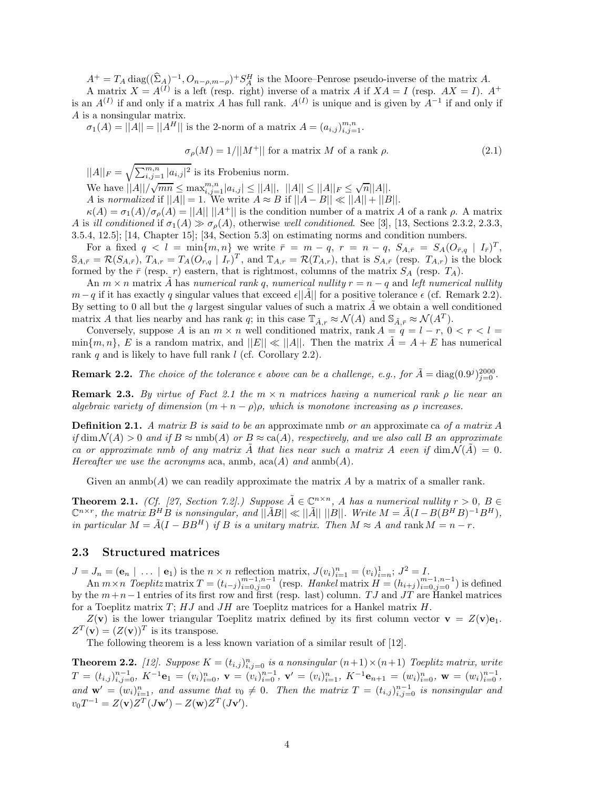$A^+ = T_A \operatorname{diag}((\hat{\Sigma}_A)^{-1}, O_{n-\rho,m-\rho})^+ S_A^H$  is the Moore–Penrose pseudo-inverse of the matrix *A*.<br>A matrix  $X = A^{(I)}$  is a left (resp. right) inverse of a matrix *A* if  $X A = I$  (resp.  $AX = I$ ). A matrix  $X = A^{(I)}$  is a left (resp. right) inverse of a matrix A if  $XA = I$  (resp.  $AX = I$ ).  $A^+$ is an  $A^{(I)}$  if and only if a matrix *A* has full rank.  $A^{(I)}$  is unique and is given by  $A^{-1}$  if and only if *A* is a nonsingular matrix.

 $\sigma_1(A) = ||A|| = ||A^H||$  is the 2-norm of a matrix  $A = (a_{i,j})_{i,j=1}^{m,n}$ .

$$
\sigma_{\rho}(M) = 1/||M^+||
$$
 for a matrix M of a rank  $\rho$ . (2.1)

 $||A||_F = \sqrt{\sum_{i,j=1}^{m,n} |a_{i,j}|^2}$  is its Frobenius norm. We have  $||A||/\sqrt{mn} \le \max_{i,j=1}^{m,n} |a_{i,j}| \le ||A||$ ,  $||A|| \le ||A||_F \le \sqrt{n}||A||$ .<br>
A is normalized if  $||A|| = 1$ . We write  $A \approx B$  if  $||A - B|| \ll ||A|| + ||B||$ .  $\kappa(A) = \sigma_1(A)/\sigma_0(A) = ||A|| \, ||A^+||$  is the condition number of a matrix *A* of a rank *ρ*. A matrix

*A* is *ill conditioned* if  $\sigma_1(A) \gg \sigma_0(A)$ , otherwise *well conditioned*. See [3], [13, Sections 2.3.2, 2.3.3, 3.5.4, 12.5]; [14, Chapter 15]; [34, Section 5.3] on estimating norms and condition numbers.

For a fixed  $q < l = \min\{m, n\}$  we write  $\bar{r} = m - q$ ,  $r = n - q$ ,  $S_{A,\bar{r}} = S_A (O_{\bar{r},q} | I_{\bar{r}})^T$ ,  $\mathbb{S}_{A,\bar{r}} = \mathcal{R}(S_{A,\bar{r}}), T_{A,r} = T_A(O_{r,q} | I_r)^T$ , and  $\mathbb{T}_{A,r} = \mathcal{R}(T_{A,r}),$  that is  $S_{A,\bar{r}}$  (resp.  $T_{A,r}$ ) is the block formed by the  $\bar{r}$  (resp. *r*) eastern, that is rightmost, columns of the matrix  $S_A$  (resp.  $T_A$ ).

An  $m \times n$  matrix A has *numerical rank* q, *numerical nullity*  $r = n - q$  and *left numerical nullity*  $m-q$  if it has exactly *q* singular values that exceed  $\epsilon$  ||A|| for a positive tolerance  $\epsilon$  (cf. Remark 2.2). By setting to 0 all but the  $q$  largest singular values of such a matrix  $A$  we obtain a well conditioned matrix *A* that lies nearby and has rank *q*; in this case  $\mathbb{T}_{\tilde{A},r} \approx \mathcal{N}(A)$  and  $\mathbb{S}_{\tilde{A},\bar{r}} \approx \mathcal{N}(A^T)$ .<br>Conversely suppose *A* is an  $m \times n$  well conditioned matrix rank  $A - a - I - r = 0$ .

Conversely, suppose *A* is an  $m \times n$  well conditioned matrix, rank  $A = q = l - r$ ,  $0 < r < l$  $\min\{m, n\}$ , *E* is a random matrix, and  $||E|| \ll ||A||$ . Then the matrix  $A = A + E$  has numerical rank *q* and is likely to have full rank *l* (cf. Corollary 2.2).

**Remark 2.2.** *The choice of the tolerance*  $\epsilon$  above can be a challenge, e.g., for  $\tilde{A} = \text{diag}(0.9^j)_{j=0}^{2000}$ .

**Remark 2.3.** *By virtue of Fact 2.1 the m* × *n matrices having a numerical rank ρ lie near an algebraic variety of dimension*  $(m + n - \rho)\rho$ *, which is monotone increasing as*  $\rho$  *increases.* 

**Definition 2.1.** *A matrix B is said to be an* approximate nmb *or an* approximate ca *of a matrix A if* dim  $\mathcal{N}(A) > 0$  *and if*  $B \approx \text{nmb}(A)$  *or*  $B \approx \text{ca}(A)$ *, respectively, and we also call*  $B$  *an approximate ca or approximate nmb of any matrix*  $\hat{A}$  *that lies near such a matrix*  $A$  *even if*  $\dim \mathcal{N}(\hat{A}) = 0$ . *Hereafter we use the acronyms* aca, anmb,  $\text{aca}(A)$  *and*  $\text{amb}(A)$ *.* 

Given an anmb(*A*) we can readily approximate the matrix *A* by a matrix of a smaller rank.

**Theorem 2.1.** *(Cf. [27, Section 7.2].) Suppose*  $\tilde{A} \in \mathbb{C}^{n \times n}$ , *A has a numerical nullity*  $r > 0$ ,  $B \in$  $\mathbb{C}^{n \times r}$ , the matrix  $B^H B$  is nonsingular, and  $||\tilde{A}B|| \ll ||\tilde{A}|| ||B||$ . Write  $M = \tilde{A}(I - B(B^H B)^{-1}B^H)$ , *in particular*  $M = \tilde{A}(I - BB^H)$  *if B is a unitary matrix. Then*  $M \approx A$  *and* rank  $M = n - r$ .

## **2.3 Structured matrices**

 $J = J_n = (\mathbf{e}_n | \dots | \mathbf{e}_1)$  is the  $n \times n$  reflection matrix,  $J(v_i)_{i=1}^n = (v_i)_{i=n}^1$ ;  $J^2 = I$ .<br>An  $m \times n$  Togplitz matrix  $T = (t_1, \dots)^{m-1,n-1}$  (resp. Hankel matrix  $H = (h_1, \dots)^{m-1}$ 

An  $m \times n$  Toeplitz matrix  $T = (t_{i-j})_{i=0}^{m-1,n-1}$  (resp. Hankel matrix  $H = (h_{i+j})_{i=0}^{m-1,n-1}$ ) is defined<br>the  $m+n-1$  entries of its first row and first (resp. last) column T I and IT are Hankel matrices by the *m*+*n*−1 entries of its first row and first (resp. last) column. *T J* and *JT* are Hankel matrices for a Toeplitz matrix *T*; *HJ* and *JH* are Toeplitz matrices for a Hankel matrix *H*.

 $Z(\mathbf{v})$  is the lower triangular Toeplitz matrix defined by its first column vector  $\mathbf{v} = Z(\mathbf{v})\mathbf{e}_1$ .  $Z^T(\mathbf{v})=(Z(\mathbf{v}))^T$  is its transpose.

The following theorem is a less known variation of a similar result of [12].

**Theorem 2.2.** [12]. Suppose  $K = (t_{i,j})_{i,j=0}^n$  is a nonsingular  $(n+1) \times (n+1)$  Toeplitz matrix, write  $T = (t_{i,j})_{i,j=0}^{n-1}, K^{-1}e_1 = (v_i)_{i=0}^n, \mathbf{v} = (v_i)_{i=0}^{n-1}, \mathbf{v}' = (v_i)_{i=1}^n, K^{-1}e_{n+1} = (w_i)_{i=0}^n, \mathbf{w} = (w_i)_{i=0}^{n-1},$ *and*  $\mathbf{w}' = (w_i)_{i=1}^n$ , and assume that  $v_0 \neq 0$ . Then the matrix  $T = (t_{i,j})_{i,j=0}^{n-1}$  is nonsingular and  $T^{-1} = Z(\cdot)Z^{T}(I-\mathcal{U})Z^{T}(I-\mathcal{U})$  $v_0 T^{-1} = Z(\mathbf{v}) Z^T (J\mathbf{w}') - Z(\mathbf{w}) Z^T (J\mathbf{v}').$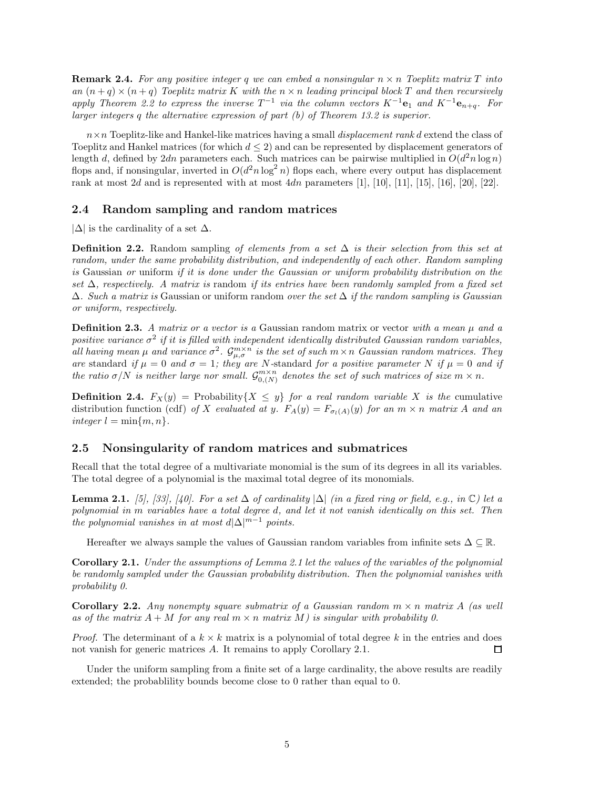**Remark 2.4.** For any positive integer q we can embed a nonsingular  $n \times n$  Toeplitz matrix T into *an*  $(n+q) \times (n+q)$  *Toeplitz matrix K with the*  $n \times n$  *leading principal block T and then recursively apply Theorem 2.2 to express the inverse*  $T^{-1}$  *via the column vectors*  $K^{-1}$ **e**<sub>1</sub> *and*  $K^{-1}$ **e**<sub>*n+q</sub>*. For</sub> *larger integers q the alternative expression of part (b) of Theorem 13.2 is superior.*

*n*×*n* Toeplitz-like and Hankel-like matrices having a small *displacement rank d* extend the class of Toeplitz and Hankel matrices (for which  $d \leq 2$ ) and can be represented by displacement generators of length *d*, defined by 2*dn* parameters each. Such matrices can be pairwise multiplied in  $O(d^2 n \log n)$ flops and, if nonsingular, inverted in  $O(d^2 n \log^2 n)$  flops each, where every output has displacement rank at most 2*d* and is represented with at most  $4dn$  parameters [1], [10], [11], [15], [16], [20], [22].

#### **2.4 Random sampling and random matrices**

 $|\Delta|$  is the cardinality of a set  $\Delta$ .

**Definition 2.2.** Random sampling *of elements from a set* ∆ *is their selection from this set at random, under the same probability distribution, and independently of each other. Random sampling is* Gaussian *or* uniform *if it is done under the Gaussian or uniform probability distribution on the set* ∆*, respectively. A matrix is* random *if its entries have been randomly sampled from a fixed set* ∆*. Such a matrix is* Gaussian or uniform random *over the set* ∆ *if the random sampling is Gaussian or uniform, respectively.*

**Definition 2.3.** *A matrix or a vector is a* Gaussian random matrix or vector *with a mean µ and a positive variance*  $\sigma^2$  *if it is filled with independent identically distributed Gaussian random variables, all having mean*  $\mu$  *and variance*  $\sigma^2$ .  $\mathcal{G}_{\mu,\sigma}^{m\times n}$  *is the set of such*  $m\times n$  *Gaussian random matrices. They are* standard *if*  $\mu = 0$  *and*  $\sigma = 1$ ; they are *N*-standard for a positive parameter *N if*  $\mu = 0$  *and if the ratio*  $\sigma/N$  *is neither large nor small.*  $\mathcal{G}_{0,(N)}^{m \times n}$  *denotes the set of such matrices of size*  $m \times n$ *.* 

**Definition 2.4.**  $F_X(y) = \text{Probability}\{X \leq y\}$  *for a real random variable X is the* cumulative distribution function (cdf) of X evaluated at y.  $F_A(y) = F_{\sigma_l(A)}(y)$  for an  $m \times n$  matrix A and an  $integer l = min{m, n}.$ 

## **2.5 Nonsingularity of random matrices and submatrices**

Recall that the total degree of a multivariate monomial is the sum of its degrees in all its variables. The total degree of a polynomial is the maximal total degree of its monomials.

**Lemma 2.1.** *[5], [33], [40]. For a set*  $\Delta$  *of cardinality*  $|\Delta|$  *(in a fixed ring or field, e.g., in* ℂ*) let a polynomial in m variables have a total degree d, and let it not vanish identically on this set. Then the polynomial vanishes in at most*  $d|\Delta|^{m-1}$  *points.* 

Hereafter we always sample the values of Gaussian random variables from infinite sets  $\Delta \subseteq \mathbb{R}$ .

**Corollary 2.1.** *Under the assumptions of Lemma 2.1 let the values of the variables of the polynomial be randomly sampled under the Gaussian probability distribution. Then the polynomial vanishes with probability 0.*

**Corollary 2.2.** *Any nonempty square submatrix of a Gaussian random*  $m \times n$  *matrix*  $A$  *(as well*) as of the matrix  $A + M$  for any real  $m \times n$  matrix  $M$ ) is singular with probability 0.

*Proof.* The determinant of a  $k \times k$  matrix is a polynomial of total degree k in the entries and does not vanish for generic matrices *A*. It remains to apply Corollary 2.1. □

Under the uniform sampling from a finite set of a large cardinality, the above results are readily extended; the probablility bounds become close to 0 rather than equal to 0.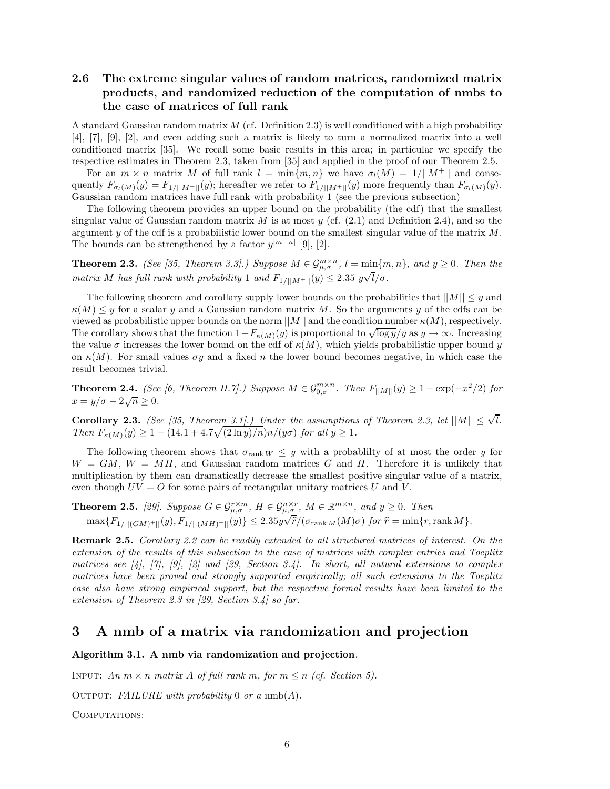# **2.6 The extreme singular values of random matrices, randomized matrix products, and randomized reduction of the computation of nmbs to the case of matrices of full rank**

A standard Gaussian random matrix *M* (cf. Definition 2.3) is well conditioned with a high probability [4], [7], [9], [2], and even adding such a matrix is likely to turn a normalized matrix into a well conditioned matrix [35]. We recall some basic results in this area; in particular we specify the respective estimates in Theorem 2.3, taken from [35] and applied in the proof of our Theorem 2.5.

For an  $m \times n$  matrix M of full rank  $l = \min\{m, n\}$  we have  $\sigma_l(M) = 1/||M^+||$  and consequently  $F_{\sigma_l(M)}(y) = F_{1/||M^+||}(y)$ ; hereafter we refer to  $F_{1/||M^+||}(y)$  more frequently than  $F_{\sigma_l(M)}(y)$ . Gaussian random matrices have full rank with probability 1 (see the previous subsection)

The following theorem provides an upper bound on the probability (the cdf) that the smallest singular value of Gaussian random matrix  $M$  is at most  $y$  (cf.  $(2.1)$  and Definition 2.4), and so the argument *y* of the cdf is a probabilistic lower bound on the smallest singular value of the matrix *M*. The bounds can be strengthened by a factor  $y^{|m-n|}$  [9], [2].

**Theorem 2.3.** *(See [35, Theorem 3.3].) Suppose*  $M \in \mathcal{G}_{\mu,\sigma}^{m \times n}$ ,  $l = \min\{m,n\}$ *, and*  $y \ge 0$ *. Then the matrix M has full rank with probability* 1 *and*  $F_{1/||M^+||}(y) \leq 2.35 \frac{y\sqrt{l}}{\sigma}$ .

The following theorem and corollary supply lower bounds on the probabilities that  $||M|| \leq y$  and  $\kappa(M) \leq y$  for a scalar *y* and a Gaussian random matrix *M*. So the arguments *y* of the cdfs can be viewed as probabilistic upper bounds on the norm ||*M*|| and the condition number *κ*(*M*), respectively. The corollary shows that the function  $1-F_{\kappa(M)}(y)$  is proportional to  $\sqrt{\log y}/y$  as  $y \to \infty$ . Increasing the value  $\sigma$  increases the lower bound on the cdf of  $\kappa(M)$ , which yields probabilistic upper bound *y* on  $\kappa(M)$ . For small values  $\sigma y$  and a fixed *n* the lower bound becomes negative, in which case the result becomes trivial.

**Theorem 2.4.** *(See [6, Theorem II.7].) Suppose*  $M \in \mathcal{G}_{0,\sigma}^{m \times n}$ . Then  $F_{\vert M \vert}(y) \geq 1 - \exp(-x^2/2)$  for  $x = y/\sigma - 2\sqrt{n} \ge 0$ .

**Corollary 2.3.** *(See [35, Theorem 3.1].) Under the assumptions of Theorem 2.3, let*  $||M|| \leq \sqrt{l}$ *. Then*  $F_{\kappa(M)}(y) \geq 1 - (14.1 + 4.7\sqrt{(2 \ln y)/n})n/(y\sigma)$  *for all*  $y \geq 1$ *.* 

The following theorem shows that  $\sigma_{\text{rank }W} \leq y$  with a probability of at most the order *y* for  $W = GM$ ,  $W = MH$ , and Gaussian random matrices *G* and *H*. Therefore it is unlikely that multiplication by them can dramatically decrease the smallest positive singular value of a matrix, even though  $UV = O$  for some pairs of rectangular unitary matrices  $U$  and  $V$ .

**Theorem 2.5.** [29]. Suppose  $G \in \mathcal{G}_{\mu,\sigma}^{r\times m}$ ,  $H \in \mathcal{G}_{\mu,\sigma}^{n\times r}$ ,  $M \in \mathbb{R}^{m\times n}$ , and  $y \ge 0$ . Then  $\max\{F_{1/||(GM)^{+}||}(y), F_{1/||(MH)^{+}||}(y)\} \le 2.35y$  $\frac{\mu, \epsilon}{\mu}$  $\widehat{r}/(\sigma_{\mathrm{rank}\,M}(M)\sigma)$  *for*  $\widehat{r} = \min\{r,\mathrm{rank}\,M\}.$ 

**Remark 2.5.** *Corollary 2.2 can be readily extended to all structured matrices of interest. On the extension of the results of this subsection to the case of matrices with complex entries and Toeplitz matrices see [4], [7], [9], [2] and [29, Section 3.4]. In short, all natural extensions to complex matrices have been proved and strongly supported empirically; all such extensions to the Toeplitz case also have strong empirical support, but the respective formal results have been limited to the extension of Theorem 2.3 in [29, Section 3.4] so far.*

# **3 A nmb of a matrix via randomization and projection**

#### **Algorithm 3.1. A nmb via randomization and projection***.*

INPUT:  $An \, m \times n$  matrix A of full rank m, for  $m \leq n$  (cf. Section 5).

Output: *FAILURE with probability* 0 *or a* nmb(*A*)*.*

COMPUTATIONS: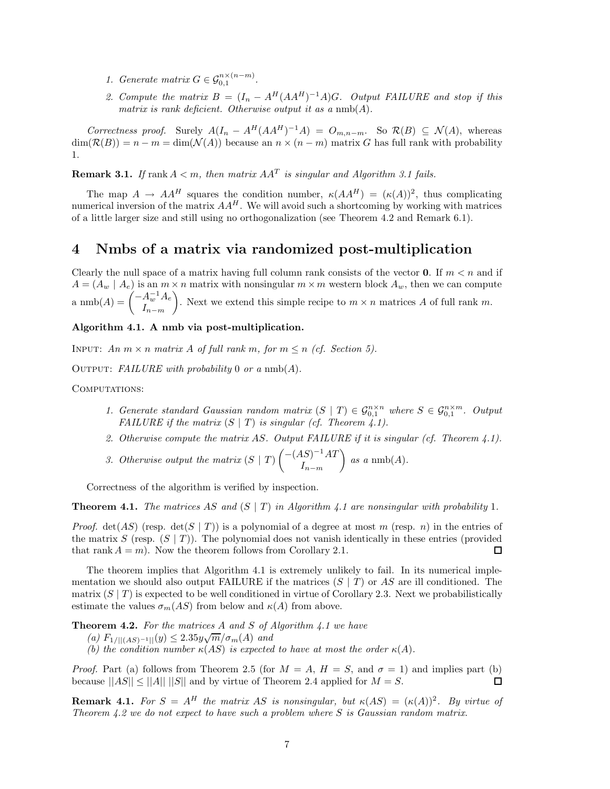- *1. Generate matrix*  $G \in \mathcal{G}_{0,1}^{n \times (n-m)}$ .
- 2. Compute the matrix  $B = (I_n A^H(AA^H)^{-1}A)G$ *. Output FAILURE and stop if this matrix is rank deficient. Otherwise output it as a* nmb(*A*)*.*

Correctness proof. Surely  $A(I_n - A^H(AA^H)^{-1}A) = O_{m,n-m}$ . So  $\mathcal{R}(B) \subseteq \mathcal{N}(A)$ , whereas  $\dim(\mathcal{R}(B)) = n - m = \dim(\mathcal{N}(A))$  because an  $n \times (n - m)$  matrix G has full rank with probability 1.

**Remark 3.1.** *If* rank  $A < m$ , then matrix  $AA<sup>T</sup>$  *is singular and Algorithm 3.1 fails.* 

The map  $A \to AA^H$  squares the condition number,  $\kappa(AA^H) = (\kappa(A))^2$ , thus complicating numerical inversion of the matrix  $AA^H$ . We will avoid such a shortcoming by working with matrices of a little larger size and still using no orthogonalization (see Theorem 4.2 and Remark 6.1).

# **4 Nmbs of a matrix via randomized post-multiplication**

Clearly the null space of a matrix having full column rank consists of the vector **0**. If  $m < n$  and if  $A = (A_w | A_e)$  is an  $m \times n$  matrix with nonsingular  $m \times m$  western block  $A_w$ , then we can compute  $\lim_{I \to \infty} \ln(A) = \left( \frac{-A_w^{-1}A_e}{I} \right)$ *<sup>I</sup>n*−*m* ). Next we extend this simple recipe to  $m \times n$  matrices A of full rank m.

## **Algorithm 4.1. A nmb via post-multiplication.**

INPUT: *An*  $m \times n$  *matrix A of full rank*  $m$ *, for*  $m \leq n$  *(cf. Section 5).* 

Output: *FAILURE with probability* 0 *or a* nmb(*A*)*.*

COMPUTATIONS:

- *1. Generate standard Gaussian random matrix*  $(S | T) \in \mathcal{G}_{0,1}^{n \times n}$  where  $S \in \mathcal{G}_{0,1}^{n \times m}$ . Output *FAILURE if the matrix*  $(S | T)$  *is singular (cf. Theorem 4.1).*
- *2. Otherwise compute the matrix AS. Output FAILURE if it is singular (cf. Theorem 4.1).*
- *3. Otherwise output the matrix* (*S* | *T*) −(*AS*)−<sup>1</sup>*AT <sup>I</sup>n*−*m*  $\Big)$  *as a* nmb(*A*)*.*

Correctness of the algorithm is verified by inspection.

**Theorem 4.1.** *The matrices AS and*  $(S | T)$  *in Algorithm 4.1 are nonsingular with probability* 1*.* 

*Proof.* det(*AS*) (resp. det(*S* | *T*)) is a polynomial of a degree at most *m* (resp. *n*) in the entries of the matrix *S* (resp.  $(S | T)$ ). The polynomial does not vanish identically in these entries (provided that rank  $A = m$ ). Now the theorem follows from Corollary 2.1.  $\Box$ 

The theorem implies that Algorithm 4.1 is extremely unlikely to fail. In its numerical implementation we should also output FAILURE if the matrices (*S* | *T*) or *AS* are ill conditioned. The matrix  $(S | T)$  is expected to be well conditioned in virtue of Corollary 2.3. Next we probabilistically estimate the values  $\sigma_m(AS)$  from below and  $\kappa(A)$  from above.

**Theorem 4.2.** *For the matrices A and S of Algorithm 4.1 we have*

- **(a)**  $F_{1/||(AS)^{-1}||}(y) \leq 2.35y\sqrt{m}/\sigma_m(A)$  and<br>
(b) the condition number  $u(AS)$  is concepted.
- *(b)* the condition number  $\kappa(AS)$  is expected to have at most the order  $\kappa(A)$ .

*Proof.* Part (a) follows from Theorem 2.5 (for  $M = A$ ,  $H = S$ , and  $\sigma = 1$ ) and implies part (b) because  $||AS|| \le ||A|| ||S||$  and by virtue of Theorem 2.4 applied for  $M = S$ . П

**Remark 4.1.** *For*  $S = A^H$  *the matrix AS is nonsingular, but*  $\kappa(AS) = (\kappa(A))^2$ *. By virtue of Theorem 4.2 we do not expect to have such a problem where S is Gaussian random matrix.*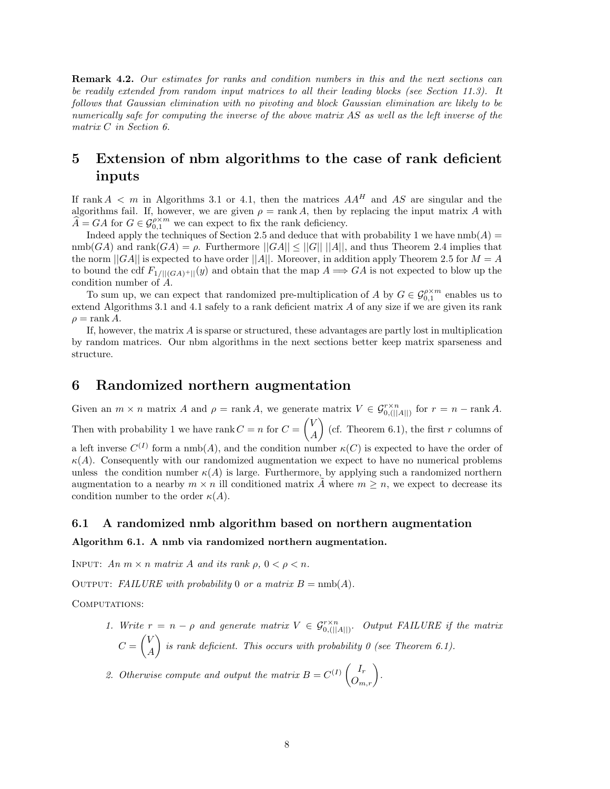**Remark 4.2.** *Our estimates for ranks and condition numbers in this and the next sections can be readily extended from random input matrices to all their leading blocks (see Section 11.3). It follows that Gaussian elimination with no pivoting and block Gaussian elimination are likely to be numerically safe for computing the inverse of the above matrix AS as well as the left inverse of the matrix C in Section 6.*

# **5 Extension of nbm algorithms to the case of rank deficient inputs**

If rank  $A < m$  in Algorithms 3.1 or 4.1, then the matrices  $AA<sup>H</sup>$  and  $AS$  are singular and the algorithms fail. If, however, we are given  $\rho = \text{rank } A$ , then by replacing the input matrix A with  $A = GA$  for  $G \in \mathcal{G}_{0,1}^{\rho \times m}$  we can expect to fix the rank deficiency.

Indeed apply the techniques of Section 2.5 and deduce that with probability 1 we have  $\text{nmb}(A)$  =  $\text{nmb}(GA)$  and  $\text{rank}(GA) = \rho$ . Furthermore  $||GA|| \le ||G|| ||A||$ , and thus Theorem 2.4 implies that the norm  $||GA||$  is expected to have order  $||A||$ . Moreover, in addition apply Theorem 2.5 for  $M = A$ to bound the cdf  $F_{1/||(GA)^+||}(y)$  and obtain that the map  $A \Longrightarrow GA$  is not expected to blow up the condition number of *A*.

To sum up, we can expect that randomized pre-multiplication of *A* by  $G \in \mathcal{G}_{0,1}^{\rho \times m}$  enables us to and Algorithms 3.1 and *A*.1 safely to a rank deficient matrix *A* of any size if we are given its rank extend Algorithms 3.1 and 4.1 safely to a rank deficient matrix *A* of any size if we are given its rank  $\rho =$ rank *A*.

If, however, the matrix *A* is sparse or structured, these advantages are partly lost in multiplication by random matrices. Our nbm algorithms in the next sections better keep matrix sparseness and structure.

# **6 Randomized northern augmentation**

Given an  $m \times n$  matrix  $A$  and  $\rho = \text{rank } A$ , we generate matrix  $V \in \mathcal{G}_{0, (||A||)}^{r \times n}$  for  $r = n - \text{rank } A$ . Then with probability 1 we have rank  $C = n$  for  $C =$  $\sqrt{V}$ *A*  $\binom{6}{r}$  (cf. Theorem 6.1), the first *r* columns of a left inverse  $C^{(I)}$  form a nmb(A), and the condition number  $\kappa(C)$  is expected to have the order of  $\kappa(A)$ . Consequently with our randomized augmentation we expect to have no numerical problems unless the condition number  $\kappa(A)$  is large. Furthermore, by applying such a randomized northern augmentation to a nearby  $m \times n$  ill conditioned matrix  $\tilde{A}$  where  $m \geq n$ , we expect to decrease its condition number to the order  $\kappa(A)$ .

## **6.1 A randomized nmb algorithm based on northern augmentation**

## **Algorithm 6.1. A nmb via randomized northern augmentation.**

INPUT:  $An \, m \times n \, matrix \, A \, and \, its \, rank \, \rho, \, 0 < \rho < n.$ 

OUTPUT: *FAILURE with probability* 0 *or a matrix*  $B = \text{nmb}(A)$ .

COMPUTATIONS:

*1. Write*  $r = n - \rho$  *and generate matrix*  $V \in \mathcal{G}_{0, (||A||)}^{\rho \times n}$ . Output FAILURE if the matrix  $C =$  $\sqrt{V}$ *A is rank deficient. This occurs with probability 0 (see Theorem 6.1).* 

2. Otherwise compute and output the matrix  $B = C^{(I)} \begin{pmatrix} I_r \\ O_{m,r} \end{pmatrix}$ .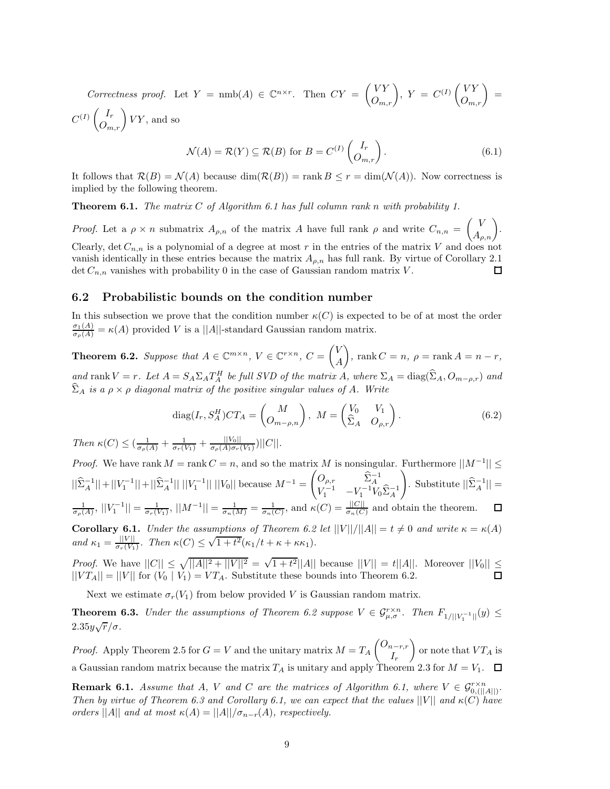*Correctness proof.* Let  $Y = \text{nmb}(A) \in \mathbb{C}^{n \times r}$ . Then  $CY = \begin{pmatrix} VY \\ O_{m,r} \end{pmatrix}$ ,  $Y = C^{(I)} \begin{pmatrix} VY \\ O_{m,r} \end{pmatrix} =$  $C^{(I)}\begin{pmatrix} I_r \\ O_{m,r} \end{pmatrix} VY$ , and so

$$
\mathcal{N}(A) = \mathcal{R}(Y) \subseteq \mathcal{R}(B) \text{ for } B = C^{(I)} \begin{pmatrix} I_r \\ O_{m,r} \end{pmatrix}.
$$
 (6.1)

It follows that  $\mathcal{R}(B) = \mathcal{N}(A)$  because  $\dim(\mathcal{R}(B)) = \text{rank } B \leq r = \dim(\mathcal{N}(A))$ . Now correctness is implied by the following theorem.

**Theorem 6.1.** *The matrix C of Algorithm 6.1 has full column rank n with probability 1.*

*Proof.* Let a  $\rho \times n$  submatrix  $A_{\rho,n}$  of the matrix A have full rank  $\rho$  and write  $C_{n,n}$  =  $\begin{pmatrix} V \\ A_{\rho,n} \end{pmatrix}$ . Clearly, det  $C_{n,n}$  is a polynomial of a degree at most r in the entries of the matrix V and does not vanish identically in these entries because the matrix  $A_{\rho,n}$  has full rank. By virtue of Corollary 2.1 det  $C_{n,n}$  vanishes with probability 0 in the case of Gaussian random matrix V. det  $C_{n,n}$  vanishes with probability 0 in the case of Gaussian random matrix *V*.

## **6.2 Probabilistic bounds on the condition number**

In this subsection we prove that the condition number  $\kappa(C)$  is expected to be of at most the order  $\frac{\sigma_1(A)}{\sigma_\rho(A)} = \kappa(A)$  provided *V* is a ||*A*||-standard Gaussian random matrix.

**Theorem 6.2.** *Suppose that*  $A \in \mathbb{C}^{m \times n}$ ,  $V \in \mathbb{C}^{r \times n}$ ,  $C = \begin{pmatrix} V & \mathcal{F} \\ \mathcal{F} & \mathcal{F} \end{pmatrix}$ *A*  $\left( \int_{0}^{\infty} \right)$ , rank  $C = n$ ,  $\rho = \text{rank } A = n - r$ , and rank  $V = r$ . Let  $A = S_A \Sigma_A T_A^H$  be full SVD of the matrix A, where  $\Sigma_A = \text{diag}(\Sigma_A, O_{m-\rho,r})$  and  $\hat{\Sigma}$  $\hat{\Sigma}_A$  *is a*  $\rho \times \rho$  *diagonal matrix of the positive singular values of A. Write* 

$$
diag(I_r, S_A^H)CT_A = \begin{pmatrix} M \\ O_{m-\rho,n} \end{pmatrix}, \ M = \begin{pmatrix} V_0 & V_1 \\ \hat{\Sigma}_A & O_{\rho,r} \end{pmatrix}.
$$
 (6.2)

*Then*  $\kappa(C) \leq (\frac{1}{\sigma_{\rho}(A)} + \frac{1}{\sigma_{r}(V_1)} + \frac{||V_0||}{\sigma_{\rho}(A)\sigma_{r}(V_1)})||C||$ .

*Proof.* We have rank  $M = \text{rank } C = n$ , and so the matrix  $M$  is nonsingular. Furthermore  $||M^{-1}|| \le$  $\begin{pmatrix} O_{\rho,r} & \widehat{\Sigma}_A^{-1} \\ V_1^{-1} & -V_1^{-1}V_0\widehat{\Sigma}_A^{-1} \end{pmatrix}$  $\setminus$  $||\hat{\Sigma}_A^{-1}|| + ||V_1^{-1}|| + ||\hat{\Sigma}_A^{-1}|| ||V_1^{-1}|| ||V_0||$  because  $M^{-1} =$  $\text{Substitute } ||\hat{\Sigma}_A^{-1}|| =$  $\frac{1}{\sigma_p(A)},$   $||V_1^{-1}|| = \frac{1}{\sigma_r(V_1)},$   $||M^{-1}|| = \frac{1}{\sigma_n(M)} = \frac{1}{\sigma_n(C)},$  and  $\kappa(C) = \frac{||C||}{\sigma_n(C)}$  and obtain the theorem.  $\Box$ **Corollary 6.1.** *Under the assumptions of Theorem 6.2 let*  $||V||/||A|| = t \neq 0$  *and write*  $\kappa = \kappa(A)$ *and*  $\kappa_1 = \frac{||V||}{\sigma_r(V_1)}$ . Then  $\kappa(C) \le \sqrt{1+t^2}(\kappa_1/t + \kappa + \kappa \kappa_1)$ .

*Proof.* We have  $||C|| \le \sqrt{||A||^2 + ||V||^2} = \sqrt{1+t^2}||A||$  because  $||V|| = t||A||$ . Moreover  $||V_0|| \le$  $||VT_A|| = ||V||$  for  $(V_0 | V_1) = VT_A$ . Substitute these bounds into Theorem 6.2. П

Next we estimate  $\sigma_r(V_1)$  from below provided *V* is Gaussian random matrix.

**Theorem 6.3.** *Under the assumptions of Theorem 6.2 suppose*  $V \in \mathcal{G}_{\mu,\sigma}^{r \times n}$ . Then  $F_{1/||V_1^{-1}||}(y) \le$ 2*.*35*y* <sup>√</sup>*r/σ.*

*Proof.* Apply Theorem 2.5 for  $G = V$  and the unitary matrix  $M = T_A$  $\left(\frac{O_{n-r,r}}{I}\right)$ *Ir*  $\Big)$  or note that  $VT_A$  is a Gaussian random matrix because the matrix  $T_A$  is unitary and apply Theorem 2.3 for  $M = V_1$ .  $\Box$ 

**Remark 6.1.** *Assume that A*, *V and C are the matrices of Algorithm 6.1, where*  $V \in \mathcal{G}_{0}^{r \times n}$ **Then by virtue of Theorem 6.3 and Corollary 6.1, we can expect that the values**  $||V||$  **and**  $\kappa(C)$  **have<br>Then by virtue of Theorem 6.3 and Corollary 6.1, we can expect that the values**  $||V||$  **and**  $\kappa(C)$  **have** *orders*  $||A||$  *and at most*  $\kappa(A) = ||A|| / \sigma_{n-r}(A)$ *, respectively.*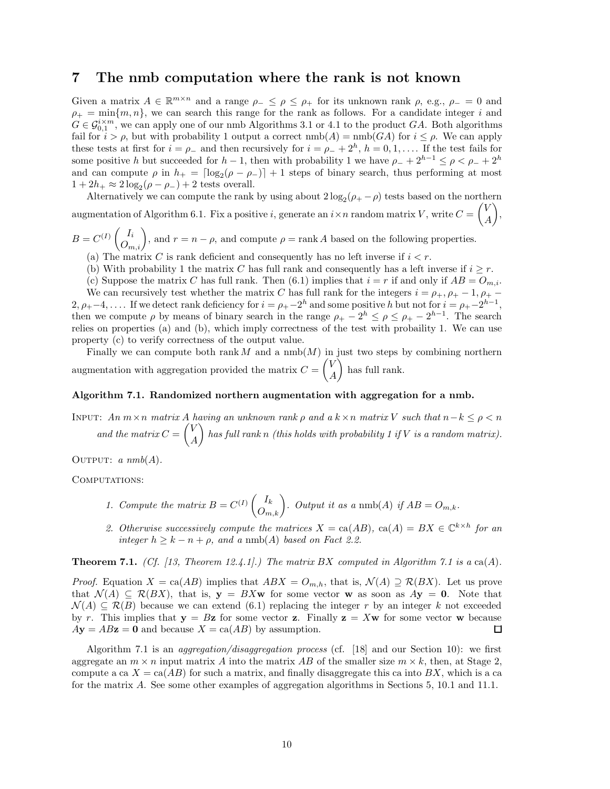# **7 The nmb computation where the rank is not known**

Given a matrix  $A \in \mathbb{R}^{m \times n}$  and a range  $\rho_{-} \leq \rho \leq \rho_{+}$  for its unknown rank  $\rho$ , e.g.,  $\rho_{-} = 0$  and  $\rho_+ = \min\{m, n\}$ , we can search this range for the rank as follows. For a candidate integer *i* and  $G \in \mathcal{G}_{0,1}^{i \times m}$ , we can apply one of our nmb Algorithms 3.1 or 4.1 to the product *GA*. Both algorithms fail for  $i > \rho$ , but with probability 1 output a correct  $\text{nmb}(A) = \text{nmb}(GA)$  for  $i \leq \rho$ . We can apply these tests at first for  $i = \rho_-$  and then recursively for  $i = \rho_- + 2^h$ ,  $h = 0, 1, \ldots$  If the test fails for some positive *h* but succeeded for *h* − 1, then with probability 1 we have  $\rho_+ + 2^{h-1} \leq \rho < \rho_+ + 2^h$ and can compute  $\rho$  in  $h_{+} = \lfloor \log_2(\rho - \rho_{-}) \rfloor + 1$  steps of binary search, thus performing at most  $1+2h_+ \approx 2\log_2(\rho-\rho_-)+2$  tests overall.

Alternatively we can compute the rank by using about  $2 \log_2(\rho_+ - \rho)$  tests based on the northern augmentation of Algorithm 6.1. Fix a positive *i*, generate an  $i \times n$  random matrix *V*, write  $C =$  $\sqrt{V}$ *A* -,

 $B = C^{(I)}\begin{pmatrix} I_i \\ O_{m,i} \end{pmatrix}$ , and  $r = n - \rho$ , and compute  $\rho = \text{rank } A$  based on the following properties.

- (a) The matrix *C* is rank deficient and consequently has no left inverse if  $i < r$ .
- (b) With probability 1 the matrix *C* has full rank and consequently has a left inverse if  $i \geq r$ .

(c) Suppose the matrix *C* has full rank. Then (6.1) implies that  $i = r$  if and only if  $AB = O_{m,i}$ . We can recursively test whether the matrix *C* has full rank for the integers  $i = \rho_+, \rho_+ - 1, \rho_+ 2, \rho_{+}-4, \ldots$  If we detect rank deficiency for  $i = \rho_{+}-2^{h}$  and some positive *h* but not for  $i = \rho_{+}-2^{h-1}$ , then we compute  $\rho$  by means of binary search in the range  $\rho_+ - 2^h \leq \rho \leq \rho_+ - 2^{h-1}$ . The search relies on properties (a) and (b), which imply correctness of the test with probaility 1. We can use property (c) to verify correctness of the output value.

Finally we can compute both rank  $M$  and a  $\text{nmb}(M)$  in just two steps by combining northern augmentation with aggregation provided the matrix *C* =  $\sqrt{V}$ *A* ) has full rank.

## **Algorithm 7.1. Randomized northern augmentation with aggregation for a nmb.**

INPUT:  $An \, m \times n$  matrix  $A$  *having an unknown rank*  $\rho$  *and a*  $k \times n$  *matrix*  $V$  *such that*  $n-k \leq \rho < n$ and the matrix  $C =$  $\sqrt{V}$ *A* - *has full rank n (this holds with probability 1 if V is a random matrix).*

OUTPUT:  $a \; nmb(A)$ .

COMPUTATIONS:

- *1. Compute the matrix*  $B = C^{(I)}\begin{pmatrix} I_k \ O_{m,k} \end{pmatrix}$ *. Output it as a* nmb(*A*) *if*  $AB = O_{m,k}$ *.*
- 2. Otherwise successively compute the matrices  $X = \text{ca}(AB)$ ,  $\text{ca}(A) = BX \in \mathbb{C}^{k \times h}$  for an *integer*  $h \geq k - n + \rho$ *, and a* nmb(*A*) *based on Fact 2.2.*

**Theorem 7.1.** *(Cf. [13, Theorem 12.4.1].) The matrix BX computed in Algorithm 7.1 is a* ca(*A*)*.* 

*Proof.* Equation  $X = \text{ca}(AB)$  implies that  $ABX = O_{m,h}$ , that is,  $\mathcal{N}(A) \supseteq \mathcal{R}(BX)$ . Let us prove that  $\mathcal{N}(A) \subseteq \mathcal{R}(BX)$ , that is,  $\mathbf{y} = BX\mathbf{w}$  for some vector **w** as soon as  $A\mathbf{y} = \mathbf{0}$ . Note that  $\mathcal{N}(A) \subseteq \mathcal{R}(B)$  because we can extend (6.1) replacing the integer *r* by an integer *k* not exceeded by *r*. This implies that  $y = Bz$  for some vector **z**. Finally  $z = Xw$  for some vector **w** because  $A$ **y** =  $AB$ **z** = **0** and because  $X = \text{ca}(AB)$  by assumption. 口

Algorithm 7.1 is an *aggregation/disaggregation process* (cf. [18] and our Section 10): we first aggregate an  $m \times n$  input matrix *A* into the matrix *AB* of the smaller size  $m \times k$ , then, at Stage 2, compute a ca  $X = \text{ca}(AB)$  for such a matrix, and finally disaggregate this ca into BX, which is a ca for the matrix *A*. See some other examples of aggregation algorithms in Sections 5, 10.1 and 11.1.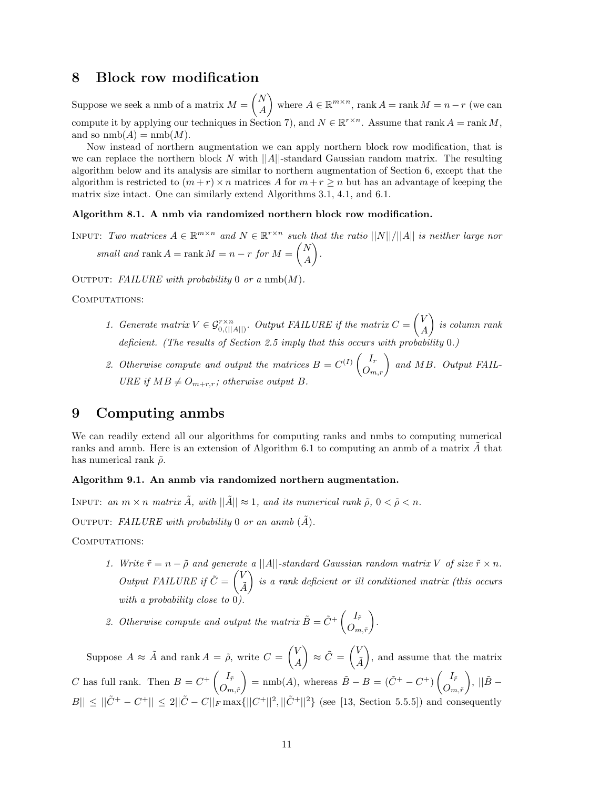# **8 Block row modification**

Suppose we seek a nmb of a matrix *M* = *N A* where  $A \in \mathbb{R}^{m \times n}$ , rank  $A = \text{rank } M = n - r$  (we can compute it by applying our techniques in Section 7), and  $N \in \mathbb{R}^{r \times n}$ . Assume that rank  $A = \text{rank } M$ , and so  $\text{nmb}(A) = \text{nmb}(M)$ .

Now instead of northern augmentation we can apply northern block row modification, that is we can replace the northern block  $N$  with  $||A||$ -standard Gaussian random matrix. The resulting algorithm below and its analysis are similar to northern augmentation of Section 6, except that the algorithm is restricted to  $(m + r) \times n$  matrices A for  $m + r \geq n$  but has an advantage of keeping the matrix size intact. One can similarly extend Algorithms 3.1, 4.1, and 6.1.

#### **Algorithm 8.1. A nmb via randomized northern block row modification.**

INPUT: *Two matrices*  $A \in \mathbb{R}^{m \times n}$  *and*  $N \in \mathbb{R}^{r \times n}$  *such that the ratio*  $||N||/||A||$  *is neither large nor*  $small and rank A = rank M = n - r for M =$  *N A* - *.*

OUTPUT: *FAILURE with probability* 0 *or a* nmb( $M$ ).

#### COMPUTATIONS:

- 1. Generate matrix  $V \in \mathcal{G}_{0, (||A||)}^{r \times n}$ . Output FAILURE if the matrix  $C =$  $\sqrt{V}$ *A* - *is column rank deficient. (The results of Section 2.5 imply that this occurs with probability* 0*.)*
- 2. Otherwise compute and output the matrices  $B = C^{(I)} \begin{pmatrix} I_r \\ O_{m,r} \end{pmatrix}$  and MB. Output FAIL-<br>*I*IP *E* if  $MB \neq O$  is otherwise output *B URE* if  $MB \neq O_{m+r,r}$ ; otherwise output *B*.

# **9 Computing anmbs**

We can readily extend all our algorithms for computing ranks and nmbs to computing numerical ranks and amnb. Here is an extension of Algorithm 6.1 to computing an anmb of a matrix  $\vec{A}$  that has numerical rank ˜*ρ*.

#### **Algorithm 9.1. An anmb via randomized northern augmentation.**

INPUT: *an*  $m \times n$  *matrix*  $A$ *, with*  $||A|| \approx 1$ *, and its numerical rank*  $\tilde{\rho}$ ,  $0 < \tilde{\rho} < n$ *.* 

OUTPUT: FAILURE with probability 0 or an anmb  $(\tilde{A})$ .

COMPUTATIONS:

*1. Write*  $\tilde{r} = n - \tilde{\rho}$  *and generate a* ||*A*||-standard Gaussian random matrix V of size  $\tilde{r} \times n$ . *Output FAILURE if*  $\tilde{C} = \begin{pmatrix} V & 0 \\ 0 & 0 \end{pmatrix}$ *A*˜ - *is a rank deficient or ill conditioned matrix (this occurs with a probability close to* 0*).*

2. Otherwise compute and output the matrix  $\tilde{B} = \tilde{C}^+ \begin{pmatrix} I_{\tilde{r}} & \tilde{C} \\ 0 & \tilde{C} \end{pmatrix}$  $O_{m,\tilde{r}}$ - *.*

Suppose  $A \approx \tilde{A}$  and rank  $A = \tilde{\rho}$ , write  $C = \begin{pmatrix} V & V \\ V & V \end{pmatrix}$ *A*  $\sum_{i=1}^{\infty}$   $\propto$   $\tilde{C} = \begin{pmatrix} V_{i} & \cdots & V_{i} \\ \vdots & \vdots & \ddots & \vdots \\ V_{i} & \cdots & V_{i} \end{pmatrix}$ *A*˜ ), and assume that the matrix *C* has full rank. Then  $B = C^+ \begin{pmatrix} I_{\tilde{r}} & \tilde{r} \\ 0 & \tilde{r} \end{pmatrix}$  $O_{m,\tilde{r}}$  $= \text{nmb}(A)$ , whereas  $\tilde{B} - B = (\tilde{C}^+ - C^+) \begin{pmatrix} I_{\tilde{r}} & 0 \\ 0 & 0 \end{pmatrix}$  $O_{m,\tilde{r}}$  $\Big), \, ||\tilde{B} |B|| \leq ||\tilde{C}^+ - C^+|| \leq 2||\tilde{C} - C||_F \max\{||C^+||^2, ||\tilde{C}^+||^2\}$  (see [13, Section 5.5.5]) and consequently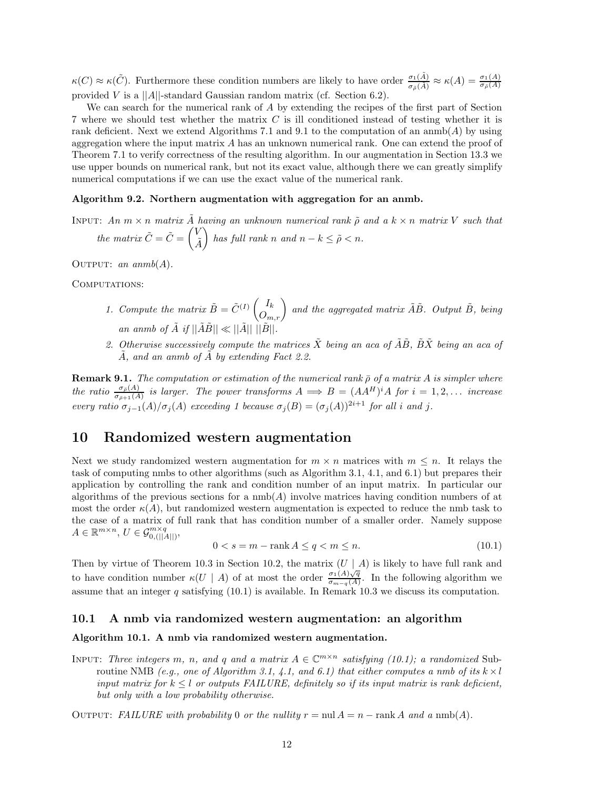$\kappa(C) \approx \kappa(\tilde{C})$ . Furthermore these condition numbers are likely to have order  $\frac{\sigma_1(\tilde{A})}{\sigma_{\tilde{\rho}}(\tilde{A})} \approx \kappa(A) = \frac{\sigma_1(A)}{\sigma_{\tilde{\rho}}(A)}$ provided *V* is a ||*A*||-standard Gaussian random matrix (cf. Section 6.2).

We can search for the numerical rank of *A* by extending the recipes of the first part of Section 7 where we should test whether the matrix *C* is ill conditioned instead of testing whether it is rank deficient. Next we extend Algorithms 7.1 and 9.1 to the computation of an anmb(*A*) by using aggregation where the input matrix *A* has an unknown numerical rank. One can extend the proof of Theorem 7.1 to verify correctness of the resulting algorithm. In our augmentation in Section 13.3 we use upper bounds on numerical rank, but not its exact value, although there we can greatly simplify numerical computations if we can use the exact value of the numerical rank.

#### **Algorithm 9.2. Northern augmentation with aggregation for an anmb.**

INPUT: An  $m \times n$  matrix A having an unknown numerical rank  $\tilde{\rho}$  and a  $k \times n$  matrix V such that *the matrix*  $\tilde{C} = \tilde{C} = \begin{pmatrix} V \\ \tilde{I} \end{pmatrix}$ *A*˜  $\left\{ \begin{array}{l} \right\}$  has full rank *n* and  $n - k \leq \tilde{\rho} < n$ .

OUTPUT: *an anmb* $(A)$ *.* 

COMPUTATIONS:

- *1. Compute the matrix*  $\tilde{B} = \tilde{C}^{(I)} \begin{pmatrix} I_k \\ O_{m,r} \end{pmatrix}$  and the aggregated matrix  $\tilde{A}\tilde{B}$ . Output  $\tilde{B}$ , being *an anmb of*  $\tilde{A}$  *if*  $||\tilde{A}\tilde{B}|| \ll ||\tilde{A}||$   $||\tilde{B}||$
- 2. Otherwise successively compute the matrices  $\tilde{X}$  being an aca of  $\tilde{A}\tilde{B}$ ,  $\tilde{B}\tilde{X}$  being an aca of *A*˜*, and an anmb of A*˜ *by extending Fact 2.2.*

**Remark 9.1.** *The computation or estimation of the numerical rank*  $\bar{\rho}$  *of a matrix A is simpler where* the ratio  $\frac{\sigma_{\bar{\rho}}(A)}{\sigma_{\bar{\rho}+1}(A)}$  is larger. The power transforms  $A \implies B = (AA^H)^i A$  for  $i = 1, 2, ...$  increase *every ratio*  $\sigma_{j-1}(A)/\sigma_j(A)$  *exceeding* 1 *because*  $\sigma_j(B) = (\sigma_j(A))^{2i+1}$  *for all i and j*.

# **10 Randomized western augmentation**

Next we study randomized western augmentation for  $m \times n$  matrices with  $m \leq n$ . It relays the task of computing nmbs to other algorithms (such as Algorithm 3.1, 4.1, and 6.1) but prepares their application by controlling the rank and condition number of an input matrix. In particular our algorithms of the previous sections for a nmb(*A*) involve matrices having condition numbers of at most the order  $\kappa(A)$ , but randomized western augmentation is expected to reduce the nmb task to the case of a matrix of full rank that has condition number of a smaller order. Namely suppose  $A \in \mathbb{R}^{m \times n}, U \in \mathcal{G}_{0, (||A||)}^{m \times q},$ 

$$
0 < s = m - \operatorname{rank} A \le q < m \le n. \tag{10.1}
$$

Then by virtue of Theorem 10.3 in Section 10.2, the matrix (*U* | *A*) is likely to have full rank and to have condition number  $\kappa(U \mid A)$  of at most the order  $\frac{\sigma_1(A)\sqrt{q}}{\sigma_{m-q}(A)}$ . In the following algorithm we assume that an integer  $q$  satisfying (10.1) is available. In Remark 10.3 we discuss its computation.

## **10.1 A nmb via randomized western augmentation: an algorithm**

## **Algorithm 10.1. A nmb via randomized western augmentation.**

INPUT: *Three integers m*, *n*, and *q* and a matrix  $A \in \mathbb{C}^{m \times n}$  *satisfying (10.1); a randomized* Subroutine NMB *(e.g., one of Algorithm 3.1, 4.1, and 6.1) that either computes a nmb of its*  $k \times l$ *input matrix for*  $k \leq l$  *or outputs FAILURE, definitely so if its input matrix is rank deficient, but only with a low probability otherwise.*

OUTPUT: *FAILURE with probability* 0 *or the nullity*  $r = \text{null } A = n - \text{rank } A$  *and a*  $\text{nnb}(A)$ *.*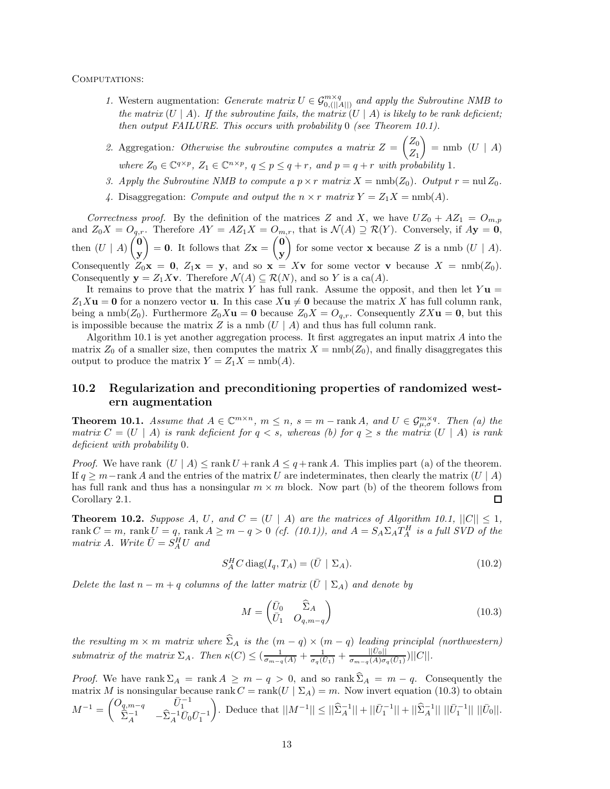COMPUTATIONS:

- *1.* Western augmentation: *Generate matrix*  $U \in \mathcal{G}_{0,||A||}^{m \times q}$  and apply the Subroutine NMB to the matrix  $(II \mid A)$  is likely to be reach deficient. *the matrix*  $(U | A)$ *. If the subroutine fails, the matrix*  $(U | A)$  *is likely to be rank deficient; then output FAILURE. This occurs with probability* 0 *(see Theorem 10.1).*
- *2.* Aggregation*: Otherwise the subroutine computes a matrix Z* = *Z*0 *Z*1  $=$  nmb  $(U \mid A)$ *where*  $Z_0 \in \mathbb{C}^{q \times p}$ ,  $Z_1 \in \mathbb{C}^{n \times p}$ ,  $q \leq p \leq q+r$ , and  $p = q+r$  with probability 1*.*
- 3. Apply the Subroutine NMB to compute a  $p \times r$  matrix  $X = \text{nmb}(Z_0)$ . Output  $r = \text{null } Z_0$ .
- 4. Disaggregation: *Compute and output the*  $n \times r$  *matrix*  $Y = Z_1 X = \text{nmb}(A)$ *.*

*Correctness proof.* By the definition of the matrices *Z* and *X*, we have  $UZ_0 + AZ_1 = O_{m,p}$ <br> $\downarrow$  *Z X*  $\downarrow$  *O Therefore AX*  $\downarrow$  *AZ X*  $\downarrow$  *O that is*  $\mathcal{N}(\uparrow) \supseteq \mathcal{D}(X)$ *. Convergely if*  $\uparrow$  *<i>Q* and  $Z_0X = O_{q,r}$ . Therefore  $AY = AZ_1X = O_{m,r}$ , that is  $\mathcal{N}(A) \supseteq \mathcal{R}(Y)$ . Conversely, if  $A\mathbf{y} = \mathbf{0}$ , then  $(U \mid A)$  **0 y**  $= 0$ . It follows that  $Z\mathbf{x} =$  **0 y** for some vector **x** because *Z* is a nmb  $(U | A)$ . Consequently  $Z_0'$ **x** = **0**,  $Z_1$ **x** = **y**, and so **x** = X**v** for some vector **v** because  $X = \text{nmb}(Z_0)$ . Consequently  $\mathbf{y} = Z_1 X \mathbf{v}$ . Therefore  $\mathcal{N}(A) \subseteq \mathcal{R}(N)$ , and so *Y* is a ca(*A*).

It remains to prove that the matrix *Y* has full rank. Assume the opposit, and then let *Y* **u** =  $Z_1 X$ **u** = **0** for a nonzero vector **u**. In this case  $X$ **u**  $\neq$  **0** because the matrix *X* has full column rank, being a nmb( $Z_0$ ). Furthermore  $Z_0X$ **u** = **0** because  $Z_0X = O_{q,r}$ . Consequently  $ZX$ **u** = **0**, but this is impossible because the matrix  $Z$  is a nmb  $(U | A)$  and thus has full column rank.

Algorithm 10.1 is yet another aggregation process. It first aggregates an input matrix *A* into the matrix  $Z_0$  of a smaller size, then computes the matrix  $X = \text{nmb}(Z_0)$ , and finally disaggregates this output to produce the matrix  $Y = Z_1 X = \text{nmb}(A)$ .

# **10.2 Regularization and preconditioning properties of randomized western augmentation**

**Theorem 10.1.** *Assume that*  $A \in \mathbb{C}^{m \times n}$ ,  $m \leq n$ ,  $s = m - \text{rank } A$ , and  $U \in \mathcal{G}_{\mu,\sigma}^{m \times q}$ . Then (a) the *matrix*  $C = (U \mid A)$  *is rank deficient for*  $q < s$ *, whereas (b) for*  $q \geq s$  *the matrix*  $(U \mid A)$  *is rank deficient with probability* 0*.*

*Proof.* We have rank  $(U | A) \leq \text{rank } U + \text{rank } A \leq q + \text{rank } A$ . This implies part (a) of the theorem. If  $q > m$ −rank *A* and the entries of the matrix *U* are indeterminates, then clearly the matrix  $(U | A)$ has full rank and thus has a nonsingular  $m \times m$  block. Now part (b) of the theorem follows from Corollary 2.1. П

**Theorem 10.2.** *Suppose A, U,* and  $C = (U \mid A)$  are the matrices of Algorithm 10.1,  $||C|| \leq 1$ *,* rank  $C = m$ , rank  $U = q$ , rank  $A \ge m - q > 0$  (cf. (10.1)), and  $A = S_A \Sigma_A T_A^H$  is a full SVD of the matrix A. Write  $\bar{U} = S_A^H U$  and

$$
S_A^H C \operatorname{diag}(I_q, T_A) = (\bar{U} \mid \Sigma_A). \tag{10.2}
$$

*Delete the last*  $n - m + q$  *columns of the latter matrix*  $(U | \Sigma_A)$  *and denote by* 

$$
M = \begin{pmatrix} \bar{U}_0 & \hat{\Sigma}_A \\ \bar{U}_1 & O_{q,m-q} \end{pmatrix} \tag{10.3}
$$

 $the$  *resulting*  $m \times m$  *matrix where*  $\Sigma_A$  *is the*  $(m-q) \times (m-q)$  *leading principlal (northwestern)* submatrix of the matrix  $\Sigma_A$ . Then  $\kappa(C) \leq (\frac{1}{\sigma_{m-q}(A)} + \frac{1}{\sigma_q(\bar{U}_1)} + \frac{||\bar{U}_0||}{\sigma_{m-q}(A)\sigma_q(\bar{U}_1)})||C||$ .

*Proof.* We have rank  $\Sigma_A = \text{rank } A \geq m - q > 0$ , and so  $\text{rank } \Sigma_A = m - q$ . Consequently the protiin *M* is parairmular because  $\text{rank } G$ ,  $\text{rank}(H \mid \Sigma_A)$ ,  $\text{m}$ . Now invest exuation (10.2) to obtain matrix *M* is nonsingular because rank  $C = \text{rank}(U \mid \Sigma_A) = m$ . Now invert equation (10.3) to obtain  $M^{-1} = \begin{pmatrix} O_{q,m-q} & \bar{U}_1^{-1} \\ \hat{\Sigma}_A^{-1} & -\hat{\Sigma}_A^{-1} \bar{U}_0 \bar{U}_1^{-1} \end{pmatrix}$  $\left| \int_{\Omega} \mathcal{L} \right| = \int_{\Omega} \left| \int_{\Omega}^{2} |z_4|^2 + \left| \int_{\Omega}^{2} |z_4|^2 + \right| \left| \int_{\Omega}^{2} |z_4|^2 + \right| \left| \int_{\Omega}^{2} |z_4|^2 + \left| \int_{\Omega}^{2} |z_4|^2 + \int_{\Omega}^{2} |z_4|^2 \right| \right| \left| \int_{\Omega}^{2} |z_4|^2 + \int_{\Omega}^{2} |z_4|^2 \right| \left| \int_{\Omega}^{2} |z_4|^2 + \int_{\Omega}^{2} |z_4|^2 \right$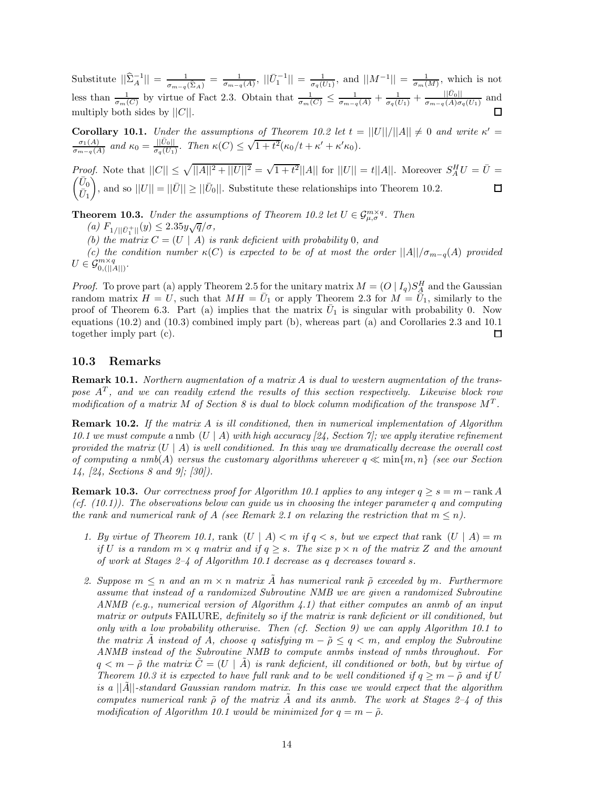Substitute  $||\hat{\Sigma}_A^{-1}|| = \frac{1}{\sigma_{m-q}(\hat{\Sigma}_A)} = \frac{1}{\sigma_{m-q}(A)}, ||\bar{U}_1^{-1}|| = \frac{1}{\sigma_q(\bar{U}_1)},$  and  $||M^{-1}|| = \frac{1}{\sigma_m(M)},$  which is not less than  $\frac{1}{\sigma_m(C)}$  by virtue of Fact 2.3. Obtain that  $\frac{1}{\sigma_m(C)} \leq \frac{1}{\sigma_{m-q}(A)} + \frac{1}{\sigma_q(C_1)} + \frac{||\bar{U}_0||}{\sigma_{m-q}(A)\sigma_q(\bar{U}_1)}$  and multiply both sides by ||*C*||.

**Corollary 10.1.** *Under the assumptions of Theorem 10.2 let*  $t = ||U||/||A|| \neq 0$  *and write*  $\kappa' =$ Coronary 10.1. Chain the assumptions of Theorem 10.2 fee  $t = \frac{\sigma_1(A)}{\sigma_{m-q}(A)}$  and  $\kappa_0 = \frac{||\bar{U}_0||}{\sigma_q(\bar{U}_1)}$ . Then  $\kappa(C) \leq \sqrt{1+t^2}(\kappa_0/t + \kappa' + \kappa'\kappa_0)$ .

*Proof.* Note that  $||C|| \le \sqrt{||A||^2 + ||U||^2} = \sqrt{1 + t^2} ||A||$  for  $||U|| = t ||A||$ . Moreover  $S_A^H U = \overline{U} = \sqrt{\overline{U}_0}$  $\bar{U}_0$  $\bar{U}_1$ ), and so  $||U|| = ||\bar{U}|| \ge ||\bar{U}_0||$ . Substitute these relationships into Theorem 10.2.

**Theorem 10.3.** *Under the assumptions of Theorem 10.2 let*  $U \in \mathcal{G}_{\mu,\sigma}^{m \times q}$ *. Then* 

 $(a)$   $F_{1/||\bar{U}_1^+||}(y) \leq 2.35y\sqrt{q}/\sigma$ ,<br>  $(b)$  the matrix  $C_{1/||U_1||}(y)$  is

*(b) the matrix*  $C = (U \mid A)$  *is rank deficient with probability* 0*, and* 

*(c)* the condition number  $\kappa(C)$  is expected to be of at most the order  $||A||/\sigma_{m-q}(A)$  provided  $U \in \mathcal{G}_{0, (||A||)}^{m \times q}$ .

*Proof.* To prove part (a) apply Theorem 2.5 for the unitary matrix  $M = (O | I_q) S_A^H$  and the Gaussian random matrix  $H = U$  such that  $MH = \bar{U}$  or apply Theorem 2.3 for  $M = \bar{U}$ , similarly to the random matrix  $H = U$ , such that  $MH = \overline{U}_1$  or apply Theorem 2.3 for  $M = \overline{U}_1$ , similarly to the proof of Theorem 6.3. Part (a) implies that the matrix  $U_1$  is singular with probability 0. Now equations (10.2) and (10.3) combined imply part (b), whereas part (a) and Corollaries 2.3 and 10.1 together imply part (c).  $\Box$ 

## **10.3 Remarks**

**Remark 10.1.** *Northern augmentation of a matrix A is dual to western augmentation of the transpose A<sup>T</sup> , and we can readily extend the results of this section respectively. Likewise block row modification of a matrix M of Section 8 is dual to block column modification of the transpose M<sup>T</sup> .*

**Remark 10.2.** *If the matrix A is ill conditioned, then in numerical implementation of Algorithm 10.1 we must compute a* nmb (*U* | *A*) *with high accuracy [24, Section 7]; we apply iterative refinement provided the matrix*  $(U | A)$  *is well conditioned. In this way we dramatically decrease the overall cost of computing a nmb* $(A)$  *versus the customary algorithms wherever*  $q \ll \min\{m, n\}$  *(see our Section*) *14, [24, Sections 8 and 9]; [30]).*

**Remark 10.3.** Our correctness proof for Algorithm 10.1 applies to any integer  $q \geq s = m - \text{rank } A$ *(cf. (10.1)). The observations below can guide us in choosing the integer parameter q and computing the rank and numerical rank of A* (see Remark 2.1 on relaxing the restriction that  $m \leq n$ ).

- *1. By virtue of Theorem 10.1,* rank  $(U \mid A) < m$  *if*  $q < s$ *, but we expect that* rank  $(U \mid A) = m$ *if U is a random*  $m \times q$  *matrix and if*  $q > s$ *. The size*  $p \times n$  *of the matrix Z and the amount of work at Stages 2–4 of Algorithm 10.1 decrease as q decreases toward s.*
- 2. Suppose  $m \leq n$  and an  $m \times n$  matrix  $\tilde{A}$  has numerical rank  $\tilde{\rho}$  exceeded by  $m$ . Furthermore *assume that instead of a randomized Subroutine NMB we are given a randomized Subroutine ANMB (e.g., numerical version of Algorithm 4.1) that either computes an anmb of an input matrix or outputs* FAILURE*, definitely so if the matrix is rank deficient or ill conditioned, but only with a low probability otherwise. Then (cf. Section 9) we can apply Algorithm 10.1 to the matrix*  $\tilde{A}$  *instead of*  $A$ *, choose q satisfying*  $m - \tilde{\rho} \leq q < m$ *, and employ the Subroutine ANMB instead of the Subroutine NMB to compute anmbs instead of nmbs throughout. For*  $q < m - \tilde{\rho}$  *the matrix*  $\tilde{C} = (U \mid \tilde{A})$  *is rank deficient, ill conditioned or both, but by virtue of Theorem 10.3 it is expected to have full rank and to be well conditioned if*  $q > m - \tilde{\rho}$  and if U *is a* ||*A*˜||*-standard Gaussian random matrix. In this case we would expect that the algorithm computes numerical rank ρ*˜ *of the matrix A*˜ *and its anmb. The work at Stages 2–4 of this modification of Algorithm 10.1 would be minimized for*  $q = m - \tilde{\rho}$ .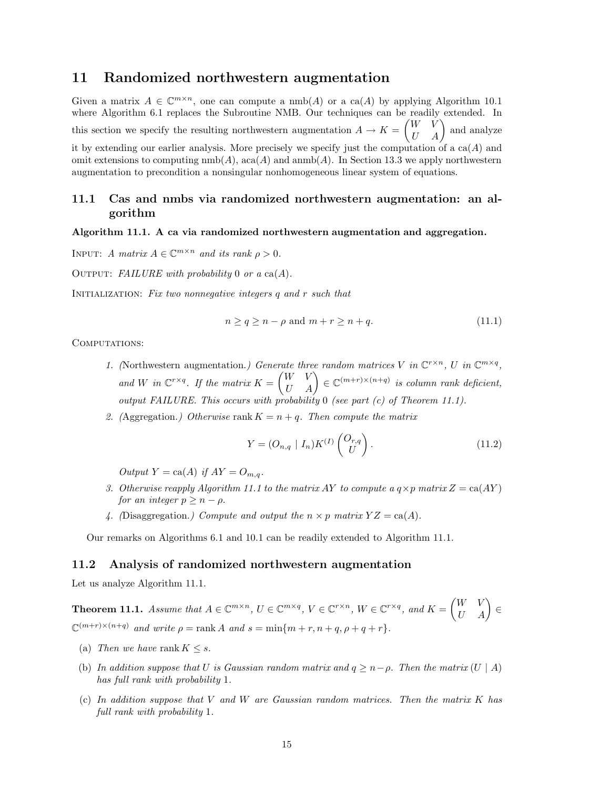# **11 Randomized northwestern augmentation**

Given a matrix  $A \in \mathbb{C}^{m \times n}$ , one can compute a nmb(A) or a ca(A) by applying Algorithm 10.1 where Algorithm 6.1 replaces the Subroutine NMB. Our techniques can be readily extended. In this section we specify the resulting northwestern augmentation  $A \to K =$  $\begin{pmatrix} W & \check{V} \\ U & A \end{pmatrix}$  and analyze it by extending our earlier analysis. More precisely we specify just the computation of a ca(*A*) and omit extensions to computing  $\text{nmb}(A)$ , aca $(A)$  and  $\text{amb}(A)$ . In Section 13.3 we apply northwestern augmentation to precondition a nonsingular nonhomogeneous linear system of equations.

## **11.1 Cas and nmbs via randomized northwestern augmentation: an algorithm**

## **Algorithm 11.1. A ca via randomized northwestern augmentation and aggregation.**

INPUT: *A matrix*  $A \in \mathbb{C}^{m \times n}$  *and its rank*  $\rho > 0$ *.* 

OUTPUT: *FAILURE with probability* 0 *or a* ca(*A*).

Initialization: *Fix two nonnegative integers q and r such that*

$$
n \ge q \ge n - \rho \text{ and } m + r \ge n + q. \tag{11.1}
$$

COMPUTATIONS:

- *1.* (Northwestern augmentation.) Generate three random matrices V in  $\mathbb{C}^{r \times n}$ , U in and *W* in  $\mathbb{C}^{r \times q}$ . If the matrix  $K = \begin{pmatrix} W & V \\ U & A \end{pmatrix} \in \mathbb{C}^{(m+r) \times (n+q)}$  is column rank deficient, *output FAILURE. This occurs with probability* 0 *(see part (c) of Theorem 11.1).*
- 2. (Aggregation.) Otherwise rank  $K = n + q$ . Then compute the matrix

$$
Y = (O_{n,q} | I_n) K^{(I)} \begin{pmatrix} O_{r,q} \\ U \end{pmatrix}.
$$
 (11.2)

 $Output Y = ca(A)$  *if*  $AY = O_{m,q}$ *.* 

- *3. Otherwise reapply Algorithm 11.1 to the matrix AY to compute a*  $q \times p$  matrix  $Z = \text{ca}(AY)$ *for an integer*  $p \geq n - \rho$ *.*
- 4. (Disaggregation.) Compute and output the  $n \times p$  matrix  $YZ = \text{ca}(A)$ .

Our remarks on Algorithms 6.1 and 10.1 can be readily extended to Algorithm 11.1.

### **11.2 Analysis of randomized northwestern augmentation**

Let us analyze Algorithm 11.1.

**Theorem 11.1.** Assume that  $A \in \mathbb{C}^{m \times n}$ ,  $U \in \mathbb{C}^{m \times q}$ ,  $V \in \mathbb{C}^{r \times n}$ ,  $W \in \mathbb{C}^{r \times q}$ , and  $K = \begin{pmatrix} W & V \\ U & A \end{pmatrix} \in$  $\mathbb{C}^{(m+r)\times(n+q)}$  *and write*  $\rho = \text{rank } A$  *and*  $s = \min\{m+r, n+q, \rho+q+r\}.$ 

- (a) *Then we have* rank  $K \leq s$ .
- (b) In addition suppose that U is Gaussian random matrix and  $q \geq n \rho$ . Then the matrix  $(U \mid A)$ *has full rank with probability* 1*.*
- (c) *In addition suppose that V and W are Gaussian random matrices. Then the matrix K has full rank with probability* 1*.*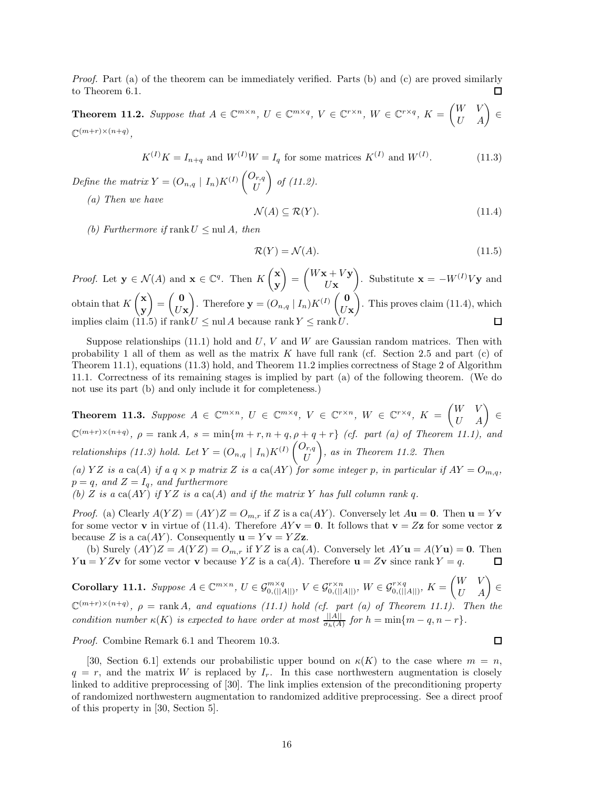*Proof.* Part (a) of the theorem can be immediately verified. Parts (b) and (c) are proved similarly to Theorem 6.1. П

**Theorem 11.2.** Suppose that  $A \in \mathbb{C}^{m \times n}$ ,  $U \in \mathbb{C}^{m \times q}$ ,  $V \in \mathbb{C}^{r \times n}$ ,  $W \in \mathbb{C}^{r \times q}$ ,  $K = \begin{pmatrix} W & V \\ U & A \end{pmatrix} \in$  $\mathbb{C}^{(m+r)\times(n+q)}$ 

$$
K^{(I)}K = I_{n+q} \text{ and } W^{(I)}W = I_q \text{ for some matrices } K^{(I)} \text{ and } W^{(I)}.
$$
 (11.3)

*Define the matrix*  $Y = (O_{n,q} | I_n)K^{(I)}\begin{pmatrix} O_{r,q} \\ U \end{pmatrix}$ - *of (11.2).*

*(a) Then we have*

$$
\mathcal{N}(A) \subseteq \mathcal{R}(Y). \tag{11.4}
$$

*(b)* Furthermore if rank  $U \leq \text{null } A$ , then

$$
\mathcal{R}(Y) = \mathcal{N}(A). \tag{11.5}
$$

*Proof.* Let  $\mathbf{y} \in \mathcal{N}(A)$  and  $\mathbf{x} \in \mathbb{C}^q$ . Then  $K\begin{pmatrix} \mathbf{x} \\ \mathbf{y} \end{pmatrix}$  $\Big) =$  $\int W$ **x** +  $V$ **y**  $\int$ . Substitute **x** =  $-W^{(I)}V$ **y** and **y** *U***x x**  $=\begin{pmatrix} 0 \\ 0 \end{pmatrix}$ Figure **y** =  $(O_{n,q} | I_n)K^{(I)}\begin{pmatrix} 0 \\ U \end{pmatrix}$ ). This proves claim (11.4), which obtain that *K* **y** *U***x** *U***x** implies claim (11.5) if rank  $U \leq \text{null } A$  because rank Y  $\Box$ 

Suppose relationships (11.1) hold and *U*, *V* and *W* are Gaussian random matrices. Then with probability 1 all of them as well as the matrix *K* have full rank (cf. Section 2.5 and part (c) of Theorem 11.1), equations (11.3) hold, and Theorem 11.2 implies correctness of Stage 2 of Algorithm 11.1. Correctness of its remaining stages is implied by part (a) of the following theorem. (We do not use its part (b) and only include it for completeness.)

**Theorem 11.3.** Suppose  $A \in \mathbb{C}^{m \times n}$ ,  $U \in \mathbb{C}^{m \times q}$ ,  $V \in \mathbb{C}^{r \times n}$ ,  $W \in \mathbb{C}^{r \times q}$ ,  $K = \begin{pmatrix} W & V \\ U & A \end{pmatrix} \in$  $\mathbb{C}^{(m+r)\times(n+q)}$ ,  $\rho = \text{rank } A$ ,  $s = \min\{m+r, n+q, \rho+q+r\}$  *(cf. part (a) of Theorem 11.1), and relationships (11.3) hold. Let*  $Y = (O_{n,q} | I_n)K^{(I)}\begin{pmatrix} O_{r,q} \\ U \end{pmatrix}$ - *, as in Theorem 11.2. Then*

(a) YZ is a ca(A) if a  $q \times p$  matrix Z is a ca(AY) for some integer p, in particular if  $AY = O_{m,q}$ ,  $p = q$ *, and*  $Z = I_q$ *, and furthermore* 

(b) *Z is a*  $ca(AY)$  *if*  $YZ$  *is a*  $ca(A)$  *and if the matrix Y has full column rank q.* 

*Proof.* (a) Clearly  $A(YZ) = (AY)Z = O_{m,r}$  if *Z* is a ca(*AY*). Conversely let  $A**u** = **0**$ . Then  $$ for some vector **v** in virtue of (11.4). Therefore  $AYv = 0$ . It follows that  $v = Zz$  for some vector **z** because *Z* is a ca(*AY*). Consequently  $\mathbf{u} = Y\mathbf{v} = YZ\mathbf{z}$ .

(b) Surely  $(AY)Z = A(YZ) = O_{m,r}$  if  $YZ$  is a ca(*A*). Conversely let  $AY$ **u** =  $A(Y$ **u**) = **0**. Then  $= YZ$ **v** for some vector **v** because  $YZ$  is a ca(*A*). Therefore **u** =  $Z$ **v** since rank  $Y = q$ . *Y* **u** = *YZ***v** for some vector **v** because *YZ* is a ca(*A*). Therefore **u** = *Z***v** since rank *Y* = *q*.

**Corollary 11.1.** Suppose  $A \in \mathbb{C}^{m \times n}$ ,  $U \in \mathcal{G}_{0, (||A||)}^{m \times q}$ ,  $V \in \mathcal{G}_{0, (||A||)}^{r \times n}$ ,  $W \in \mathcal{G}_{0, (||A||)}^{r \times q}$ ,  $K =$  $\begin{pmatrix} W & V \\ U & A \end{pmatrix} \in$  $\mathbb{C}^{(m+r)\times(n+q)}$ ,  $\rho = \text{rank }A$ , and equations (11.1) hold (cf. part (a) of Theorem 11.1). Then the *condition number*  $\kappa(K)$  *is expected to have order at most*  $\frac{||A||}{\sigma_h(A)}$  *for*  $h = \min\{m - q, n - r\}$ *.* 

*Proof.* Combine Remark 6.1 and Theorem 10.3.

[30, Section 6.1] extends our probabilistic upper bound on  $\kappa(K)$  to the case where  $m = n$ ,  $q = r$ , and the matrix *W* is replaced by  $I_r$ . In this case northwestern augmentation is closely linked to additive preprocessing of [30]. The link implies extension of the preconditioning property of randomized northwestern augmentation to randomized additive preprocessing. See a direct proof of this property in [30, Section 5].

 $\Box$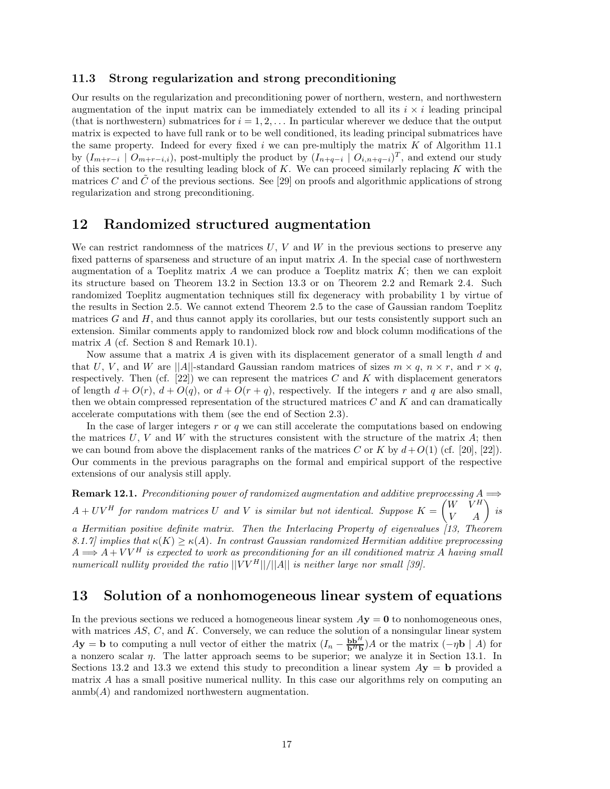#### **11.3 Strong regularization and strong preconditioning**

Our results on the regularization and preconditioning power of northern, western, and northwestern augmentation of the input matrix can be immediately extended to all its  $i \times i$  leading principal (that is northwestern) submatrices for  $i = 1, 2, \ldots$  In particular wherever we deduce that the output matrix is expected to have full rank or to be well conditioned, its leading principal submatrices have the same property. Indeed for every fixed *i* we can pre-multiply the matrix *K* of Algorithm 11.1 by  $(I_{m+r-i} \mid O_{m+r-i,i})$ , post-multiply the product by  $(I_{n+q-i} \mid O_{i,n+q-i})^T$ , and extend our study of this section to the resulting leading block of *K*. We can proceed similarly replacing *K* with the matrices  $C$  and  $C$  of the previous sections. See [29] on proofs and algorithmic applications of strong regularization and strong preconditioning.

# **12 Randomized structured augmentation**

We can restrict randomness of the matrices *U*, *V* and *W* in the previous sections to preserve any fixed patterns of sparseness and structure of an input matrix *A*. In the special case of northwestern augmentation of a Toeplitz matrix  $\vec{A}$  we can produce a Toeplitz matrix  $\vec{K}$ ; then we can exploit its structure based on Theorem 13.2 in Section 13.3 or on Theorem 2.2 and Remark 2.4. Such randomized Toeplitz augmentation techniques still fix degeneracy with probability 1 by virtue of the results in Section 2.5. We cannot extend Theorem 2.5 to the case of Gaussian random Toeplitz matrices *G* and *H*, and thus cannot apply its corollaries, but our tests consistently support such an extension. Similar comments apply to randomized block row and block column modifications of the matrix *A* (cf. Section 8 and Remark 10.1).

Now assume that a matrix *A* is given with its displacement generator of a small length *d* and that *U*, *V*, and *W* are  $||A||$ -standard Gaussian random matrices of sizes  $m \times q$ ,  $n \times r$ , and  $r \times q$ , respectively. Then (cf.  $[22]$ ) we can represent the matrices *C* and *K* with displacement generators of length  $d + O(r)$ ,  $d + O(q)$ , or  $d + O(r + q)$ , respectively. If the integers r and q are also small, then we obtain compressed representation of the structured matrices *C* and *K* and can dramatically accelerate computations with them (see the end of Section 2.3).

In the case of larger integers *r* or *q* we can still accelerate the computations based on endowing the matrices  $U, V$  and  $W$  with the structures consistent with the structure of the matrix  $A$ ; then we can bound from above the displacement ranks of the matrices *C* or *K* by  $d+O(1)$  (cf. [20], [22]). Our comments in the previous paragraphs on the formal and empirical support of the respective extensions of our analysis still apply.

**Remark 12.1.** Preconditioning power of randomized augmentation and additive preprocessing  $A \implies$  $A + UV^H$  for random matrices U and V is similar but not identical. Suppose  $K =$  $\begin{pmatrix} W & V^H \\ V & A \end{pmatrix}$  is *a Hermitian positive definite matrix. Then the Interlacing Property of eigenvalues [13, Theorem 8.1.7] implies that*  $\kappa(K) \geq \kappa(A)$ *. In contrast Gaussian randomized Hermitian additive preprocessing*  $A \Longrightarrow A + V V^H$  is expected to work as preconditioning for an ill conditioned matrix A having small *numericall nullity provided the ratio* ||*V V <sup>H</sup>*||*/*||*A*|| *is neither large nor small [39].*

# **13 Solution of a nonhomogeneous linear system of equations**

In the previous sections we reduced a homogeneous linear system  $Ay = 0$  to nonhomogeneous ones, with matrices *AS*, *C*, and *K*. Conversely, we can reduce the solution of a nonsingular linear system  $A$ **y** = **b** to computing a null vector of either the matrix  $(I_n - \frac{b b^H}{b^H} A)$  or the matrix  $(-\eta b \mid A)$  for a nonzero scalar *η*. The latter approach seems to be superior; we analyze it in Section 13.1. In Sections 13.2 and 13.3 we extend this study to precondition a linear system  $Ay = b$  provided a matrix *A* has a small positive numerical nullity. In this case our algorithms rely on computing an anmb(*A*) and randomized northwestern augmentation.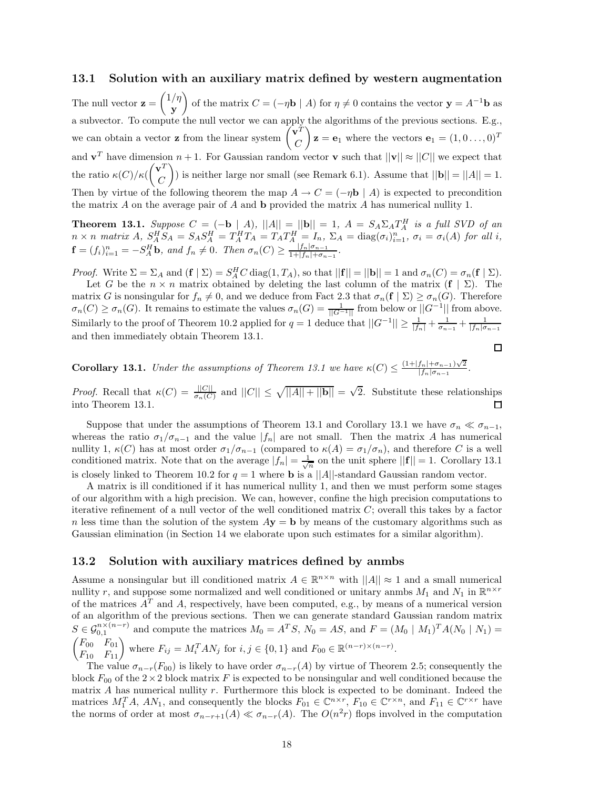## **13.1 Solution with an auxiliary matrix defined by western augmentation**

The null vector **z** = 1*/η* **y** of the matrix  $C = (-\eta \mathbf{b} \mid A)$  for  $\eta \neq 0$  contains the vector  $\mathbf{y} = A^{-1} \mathbf{b}$  as a subvector. To compute the null vector we can apply the algorithms of the previous sections. E.g., we can obtain a vector **z** from the linear system  $\begin{pmatrix} \mathbf{v}^T \\ C \end{pmatrix}$ *C*  $\mathbf{z} = \mathbf{e}_1$  where the vectors  $\mathbf{e}_1 = (1, 0 \dots, 0)^T$ and  $\mathbf{v}^T$  have dimension  $n+1$ . For Gaussian random vector **v** such that  $||\mathbf{v}|| \approx ||C||$  we expect that the ratio  $\kappa(C)/\kappa(C)$  $\left(\mathbf{v}^T\right)$ *C* ) is neither large nor small (see Remark 6.1). Assume that  $||\mathbf{b}|| = ||A|| = 1$ . Then by virtue of the following theorem the map  $A \to C = (-\eta \mathbf{b} \mid A)$  is expected to precondition the matrix *A* on the average pair of *A* and **b** provided the matrix *A* has numerical nullity 1.

**Theorem 13.1.** Suppose  $C = (-\mathbf{b} \mid A)$ ,  $||A|| = ||\mathbf{b}|| = 1$ ,  $A = S_A \Sigma_A T_A^H$  is a full SVD of an  $n \times n$  matrix  $A$ ,  $S_A^H S_A = S_A S_A^H = T_A^H T_A = T_A T_A^H = I_n$ ,  $\Sigma_A = \text{diag}(\sigma_i)_{i=1}^n$ ,  $\sigma_i = \sigma_i(A)$  for all i,  $\mathbf{f} = (f_i)_{i=1}^n = -S_A^H \mathbf{b}$ , and  $f_n \neq 0$ . Then  $\sigma_n(C) \geq \frac{|J_n|\sigma_{n-1}}{1+|J_n|+\sigma_{n-1}}$ .

*Proof.* Write  $\Sigma = \Sigma_A$  and  $(\mathbf{f} \mid \Sigma) = S_A^H C \operatorname{diag}(1, T_A)$ , so that  $||\mathbf{f}|| = ||\mathbf{b}|| = 1$  and  $\sigma_n(C) = \sigma_n(\mathbf{f} \mid \Sigma)$ .<br>Let  $C$  be the  $n \times n$  matrix obtained by deleting the last column of the matrix  $(\mathbf{f} \mid \Sigma)$ . The

Let *G* be the  $n \times n$  matrix obtained by deleting the last column of the matrix  $(f | \Sigma)$ . The matrix *G* is nonsingular for  $f_n \neq 0$ , and we deduce from Fact 2.3 that  $\sigma_n(\mathbf{f} \mid \Sigma) \geq \sigma_n(G)$ . Therefore  $\sigma_n(C) \geq \sigma_n(G)$ . It remains to estimate the values  $\sigma_n(G) = \frac{1}{||G - 1||}$  from below or  $||G^{-1}||$  from above. Similarly to the proof of Theorem 10.2 applied for  $q = 1$  deduce that  $||G^{-1}|| \ge \frac{1}{|f_n|} + \frac{1}{\sigma_{n-1}} + \frac{1}{|f_n|\sigma_{n-1}}$ and then immediately obtain Theorem 13.1.

 $\Box$ 

**Corollary 13.1.** *Under the assumptions of Theorem 13.1 we have*  $\kappa(C) \leq \frac{(1+|f_n|+\sigma_{n-1})\sqrt{2}}{|f_n|\sigma_{n-1}}$ .

*Proof.* Recall that  $\kappa(C) = \frac{||C||}{\sigma_n(C)}$  and  $||C|| \le \sqrt{||A|| + ||\mathbf{b}||} = \sqrt{2}$ . Substitute these relationships into Theorem 13.1 into Theorem 13.1.

Suppose that under the assumptions of Theorem 13.1 and Corollary 13.1 we have  $\sigma_n \ll \sigma_{n-1}$ , whereas the ratio  $\sigma_1/\sigma_{n-1}$  and the value  $|f_n|$  are not small. Then the matrix *A* has numerical nullity 1,  $\kappa(C)$  has at most order  $\sigma_1/\sigma_{n-1}$  (compared to  $\kappa(A) = \sigma_1/\sigma_n$ ), and therefore *C* is a well conditioned matrix. Note that on the average  $|f_n| = \frac{1}{\sqrt{n}}$  on the unit sphere  $||\mathbf{f}|| = 1$ . Corollary 13.1 is closely linked to Theorem 10.2 for  $q = 1$  where **b** is a ||A||-standard Gaussian random vector.

A matrix is ill conditioned if it has numerical nullity 1, and then we must perform some stages of our algorithm with a high precision. We can, however, confine the high precision computations to iterative refinement of a null vector of the well conditioned matrix *C*; overall this takes by a factor *n* less time than the solution of the system  $A$ **y** = **b** by means of the customary algorithms such as Gaussian elimination (in Section 14 we elaborate upon such estimates for a similar algorithm).

## **13.2 Solution with auxiliary matrices defined by anmbs**

Assume a nonsingular but ill conditioned matrix  $A \in \mathbb{R}^{n \times n}$  with  $||A|| \approx 1$  and a small numerical nullity *r*, and suppose some normalized and well conditioned or unitary anmbs  $M_1$  and  $N_1$  in  $\mathbb{R}^{n \times r}$ of the matrices  $A<sup>T</sup>$  and  $A$ , respectively, have been computed, e.g., by means of a numerical version of an algorithm of the previous sections. Then we can generate standard Gaussian random matrix  $S \in \mathcal{G}_{0,1}^{n \times (n-r)}$  and compute the matrices  $M_0 = A^T S$ ,  $N_0 = AS$ , and  $F = (M_0 \mid M_1)^T A (N_0 \mid N_1) =$  $\begin{pmatrix} F_{00} & F_{01} \\ F_{10} & F_{11} \end{pmatrix}$  where  $F_{ij} = M_i^T A N_j$  for  $i, j \in \{0, 1\}$  and  $F_{00} \in \mathbb{R}^{(n-r)\times(n-r)}$ .

The value  $\sigma_{n-r}(F_{00})$  is likely to have order  $\sigma_{n-r}(A)$  by virtue of Theorem 2.5; consequently the block  $F_{00}$  of the  $2\times 2$  block matrix *F* is expected to be nonsingular and well conditioned because the matrix *A* has numerical nullity *r*. Furthermore this block is expected to be dominant. Indeed the matrices  $M_1^T A$ ,  $AN_1$ , and consequently the blocks  $F_{01} \in \mathbb{C}^{n \times r}$ ,  $F_{10} \in \mathbb{C}^{r \times n}$ , and  $F_{11} \in \mathbb{C}^{r \times r}$  have the norms of order at most  $\sigma_{n-r+1}(A) \ll \sigma_{n-r}(A)$ . The  $O(n^2r)$  flops involved in the computation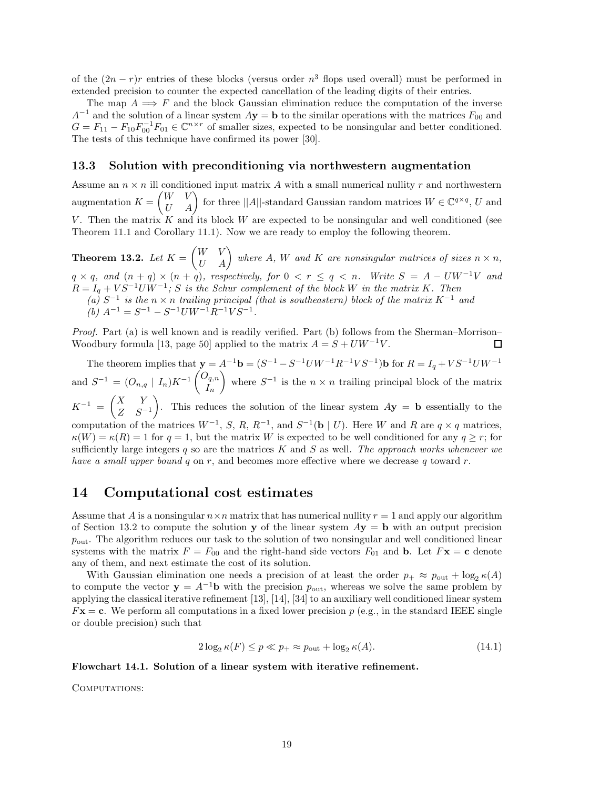of the  $(2n - r)r$  entries of these blocks (versus order  $n^3$  flops used overall) must be performed in extended precision to counter the expected cancellation of the leading digits of their entries.

The map  $A \implies F$  and the block Gaussian elimination reduce the computation of the inverse  $A^{-1}$  and the solution of a linear system  $A$ **y** = **b** to the similar operations with the matrices  $F_{00}$  and  $G = F_{11} - F_{10} F_{00}^{-1} F_{01} \in \mathbb{C}^{n \times r}$  of smaller sizes, expected to be nonsingular and better conditioned. The tests of this technique have confirmed its power [30].

## **13.3 Solution with preconditioning via northwestern augmentation**

Assume an  $n \times n$  ill conditioned input matrix A with a small numerical nullity r and northwestern augmentation *K* =  $\begin{pmatrix} W & V \\ U & A \end{pmatrix}$  for three ||*A*||-standard Gaussian random matrices  $W \in \mathbb{C}^{q \times q}$ , *U* and *V*. Then the matrix *K* and its block *W* are expected to be nonsingular and well conditioned (see Theorem 11.1 and Corollary 11.1). Now we are ready to employ the following theorem.

**Theorem 13.2.** *Let*  $K =$  $\begin{pmatrix} W & V \\ U & A \end{pmatrix}$  where *A*, *W* and *K* are nonsingular matrices of sizes  $n \times n$ ,  $q \times q$ *, and*  $(n + q) \times (n + q)$ *, respectively, for*  $0 < r \le q < n$ *. Write*  $S = A - UW^{-1}V$  *and*  $R = I_q + VS^{-1}UW^{-1}$ ; S is the Schur complement of the block W in the matrix K. Then<br>(a)  $S^{-1}$  is the  $n \times n$  trailing principal (that is southeastern) block of the matrix  $K^{-1}$  and  $(b)$   $A^{-1} = S^{-1} - S^{-1}UW^{-1}R^{-1}VS^{-1}$ .

*Proof.* Part (a) is well known and is readily verified. Part (b) follows from the Sherman–Morrison– Woodbury formula [13, page 50] applied to the matrix  $A = S + UW^{-1}V$ . ◻

The theorem implies that  $\mathbf{y} = A^{-1}\mathbf{b} = (S^{-1} - S^{-1}UW^{-1}R^{-1}VS^{-1})\mathbf{b}$  for  $R = I_q + VS^{-1}UW^{-1}$ and  $S^{-1} = (O_{n,q} | I_n)K^{-1} \begin{pmatrix} O_{q,n} \\ I_n \end{pmatrix}$ *In* where  $S^{-1}$  is the  $n \times n$  trailing principal block of the matrix  $K^{-1} = \begin{pmatrix} X & Y \\ Z & S^{-1} \end{pmatrix}$ *Z S*−<sup>1</sup> ). This reduces the solution of the linear system  $A$ **y** = **b** essentially to the computation of the matrices  $W^{-1}$ , *S*, *R*,  $R^{-1}$ , and  $S^{-1}(\mathbf{b} \mid U)$ . Here *W* and *R* are  $q \times q$  matrices,  $\kappa(W) = \kappa(R) = 1$  for  $q = 1$ , but the matrix *W* is expected to be well conditioned for any  $q \ge r$ ; for sufficiently large integers *q* so are the matrices *K* and *S* as well. *The approach works whenever we have a small upper bound q* on *r*, and becomes more effective where we decrease *q* toward *r*.

# **14 Computational cost estimates**

Assume that *A* is a nonsingular  $n \times n$  matrix that has numerical nullity  $r = 1$  and apply our algorithm of Section 13.2 to compute the solution **y** of the linear system  $Ay = b$  with an output precision *p*out. The algorithm reduces our task to the solution of two nonsingular and well conditioned linear systems with the matrix  $F = F_{00}$  and the right-hand side vectors  $F_{01}$  and **b**. Let  $F\mathbf{x} = \mathbf{c}$  denote any of them, and next estimate the cost of its solution.

With Gaussian elimination one needs a precision of at least the order  $p_+ \approx p_{\text{out}} + \log_2 \kappa(A)$ to compute the vector  $y = A^{-1}b$  with the precision  $p_{\text{out}}$ , whereas we solve the same problem by applying the classical iterative refinement [13], [14], [34] to an auxiliary well conditioned linear system  $F\mathbf{x} = \mathbf{c}$ . We perform all computations in a fixed lower precision  $p$  (e.g., in the standard IEEE single or double precision) such that

$$
2\log_2 \kappa(F) \le p \ll p_+ \approx p_{\text{out}} + \log_2 \kappa(A). \tag{14.1}
$$

#### **Flowchart 14.1. Solution of a linear system with iterative refinement.**

COMPUTATIONS: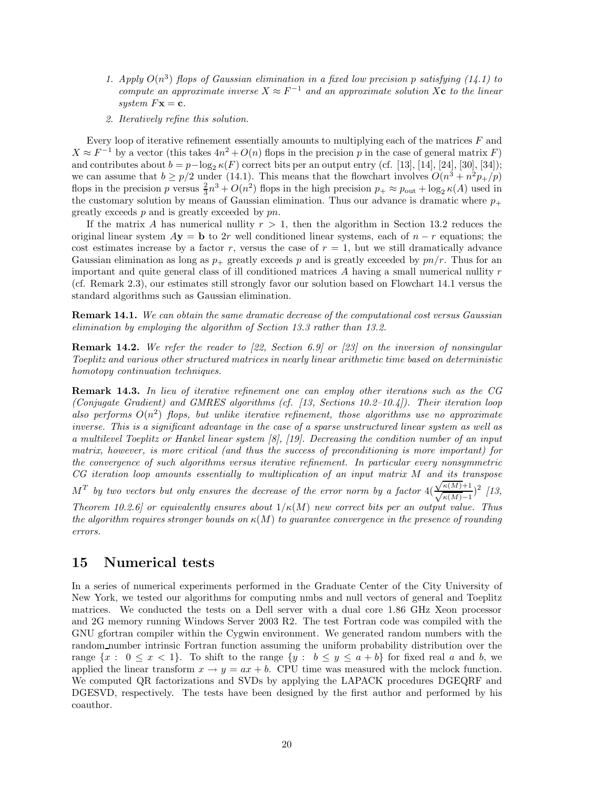- 1. Apply  $O(n^3)$  flops of Gaussian elimination in a fixed low precision p satisfying  $(14.1)$  to *compute an approximate inverse*  $X \approx F^{-1}$  *and an approximate solution*  $X$ **c** *to the linear system*  $F$ **x** = **c***.*
- *2. Iteratively refine this solution.*

Every loop of iterative refinement essentially amounts to multiplying each of the matrices *F* and  $X \approx F^{-1}$  by a vector (this takes  $4n^2 + O(n)$  flops in the precision *p* in the case of general matrix *F*) and contributes about  $b = p - \log_2 \kappa(F)$  correct bits per an output entry (cf. [13], [14], [24], [30], [34]); we can assume that  $b \ge p/2$  under (14.1). This means that the flowchart involves  $O(n^3 + n^2p_+/p)$ flops in the precision *p* versus  $\frac{2}{3}n^3 + O(n^2)$  flops in the high precision  $p_+ \approx p_{\text{out}} + \log_2 \kappa(A)$  used in the customary solution by means of Gaussian elimination. Thus our advance is dramatic where  $p_+$ greatly exceeds *p* and is greatly exceeded by *pn*.

If the matrix *A* has numerical nullity  $r > 1$ , then the algorithm in Section 13.2 reduces the original linear system  $Ay = b$  to 2*r* well conditioned linear systems, each of  $n - r$  equations; the cost estimates increase by a factor  $r$ , versus the case of  $r = 1$ , but we still dramatically advance Gaussian elimination as long as  $p_{+}$  greatly exceeds p and is greatly exceeded by  $pn/r$ . Thus for an important and quite general class of ill conditioned matrices *A* having a small numerical nullity *r* (cf. Remark 2.3), our estimates still strongly favor our solution based on Flowchart 14.1 versus the standard algorithms such as Gaussian elimination.

**Remark 14.1.** *We can obtain the same dramatic decrease of the computational cost versus Gaussian elimination by employing the algorithm of Section 13.3 rather than 13.2.*

**Remark 14.2.** *We refer the reader to [22, Section 6.9] or [23] on the inversion of nonsingular Toeplitz and various other structured matrices in nearly linear arithmetic time based on deterministic homotopy continuation techniques.*

**Remark 14.3.** *In lieu of iterative refinement one can employ other iterations such as the CG (Conjugate Gradient) and GMRES algorithms (cf. [13, Sections 10.2–10.4]). Their iteration loop also performs*  $O(n^2)$  *flops, but unlike iterative refinement, those algorithms use no approximate inverse. This is a significant advantage in the case of a sparse unstructured linear system as well as a multilevel Toeplitz or Hankel linear system [8], [19]. Decreasing the condition number of an input matrix, however, is more critical (and thus the success of preconditioning is more important) for the convergence of such algorithms versus iterative refinement. In particular every nonsymmetric CG iteration loop amounts essentially to multiplication of an input matrix M and its transpose* √ $M^T$  *by two vectors but only ensures the decrease of the error norm by a factor*  $4(\frac{\sqrt{\kappa(M)}+1}{\sqrt{\kappa(M)}-1})$ *κ*(*M*)−<sup>1</sup> )<sup>2</sup> *[13, Theorem 10.2.6] or equivalently ensures about*  $1/\kappa(M)$  *new correct bits per an output value. Thus the algorithm requires stronger bounds on κ*(*M*) *to guarantee convergence in the presence of rounding errors.*

# **15 Numerical tests**

In a series of numerical experiments performed in the Graduate Center of the City University of New York, we tested our algorithms for computing nmbs and null vectors of general and Toeplitz matrices. We conducted the tests on a Dell server with a dual core 1.86 GHz Xeon processor and 2G memory running Windows Server 2003 R2. The test Fortran code was compiled with the GNU gfortran compiler within the Cygwin environment. We generated random numbers with the random number intrinsic Fortran function assuming the uniform probability distribution over the range  $\{x : 0 \leq x < 1\}$ . To shift to the range  $\{y : b \leq y \leq a + b\}$  for fixed real *a* and *b*, we applied the linear transform  $x \to y = ax + b$ . CPU time was measured with the mclock function. We computed QR factorizations and SVDs by applying the LAPACK procedures DGEQRF and DGESVD, respectively. The tests have been designed by the first author and performed by his coauthor.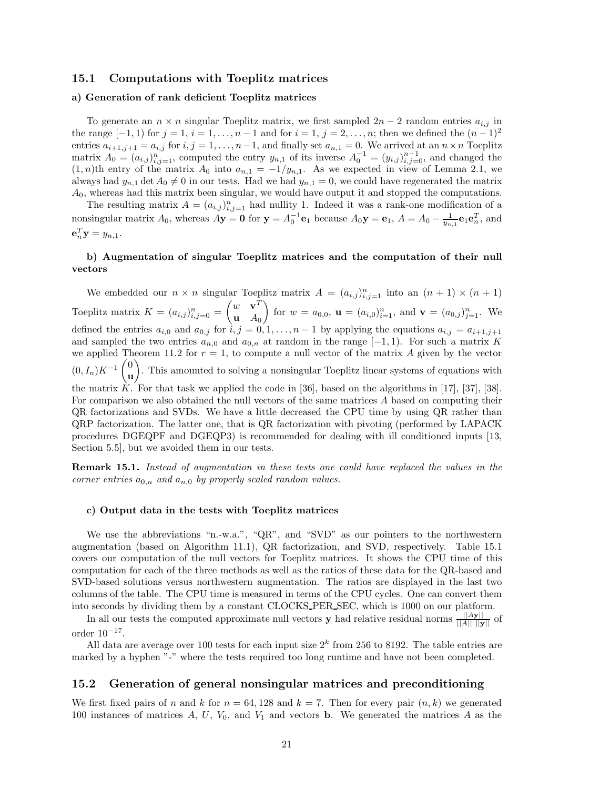## **15.1 Computations with Toeplitz matrices**

## **a) Generation of rank deficient Toeplitz matrices**

To generate an  $n \times n$  singular Toeplitz matrix, we first sampled  $2n - 2$  random entries  $a_{i,j}$  in the range  $[-1, 1)$  for  $j = 1, i = 1, \ldots, n - 1$  and for  $i = 1, j = 2, \ldots, n$ ; then we defined the  $(n - 1)^2$ entries  $a_{i+1,j+1} = a_{i,j}$  for  $i, j = 1, \ldots, n-1$ , and finally set  $a_{n,1} = 0$ . We arrived at an  $n \times n$  Toeplitz matrix  $A_0 = (a_{i,j})_{i,j=1}^n$ , computed the entry  $y_{n,1}$  of its inverse  $A_0^{-1} = (y_{i,j})_{i,j=0}^{n-1}$ , and changed the  $(1, p)$ <sup>th</sup> entry of the matrix  $A_0$  into  $a_{i,j} = -1/u_{i,j}$ . As we expected in view of Lemma 2.1, we  $(1, n)$ th entry of the matrix  $A_0$  into  $a_{n,1} = -1/y_{n,1}$ . As we expected in view of Lemma 2.1, we always had  $y_{n,1}$  det  $A_0 \neq 0$  in our tests. Had we had  $y_{n,1} = 0$ , we could have regenerated the matrix *A*0, whereas had this matrix been singular, we would have output it and stopped the computations.

The resulting matrix  $A = (a_{i,j})_{i,j=1}^n$  had nullity 1. Indeed it was a rank-one modification of a<br>*in m*-language in the second of a rank-one modification of a nonsingular matrix  $A_0$ , whereas  $A\mathbf{y} = \mathbf{0}$  for  $\mathbf{y} = A_0^{-1} \mathbf{e}_1$  because  $A_0\mathbf{y} = \mathbf{e}_1$ ,  $A = A_0 - \frac{1}{y_{n,1}} \mathbf{e}_1 \mathbf{e}_n^T$ , and  $T$  $e_n^T y = y_{n,1}.$ 

## **b) Augmentation of singular Toeplitz matrices and the computation of their null vectors**

We embedded our  $n \times n$  singular Toeplitz matrix  $A = (a_{i,j})_{i,j=1}^n$  into an  $(n + 1) \times (n + 1)$ Toeplitz matrix  $K = (a_{i,j})_{i,j=0}^n$  $\int w \cdot \mathbf{v}^T$ **u** *A*<sup>0</sup> for  $w = a_{0,0}$ ,  $\mathbf{u} = (a_{i,0})_{i=1}^n$ , and  $\mathbf{v} = (a_{0,j})_{j=1}^n$ . We defined the entries  $a_{i,0}$  and  $a_{0,j}$  for  $i, j = 0, 1, \ldots, n-1$  by applying the equations  $a_{i,j} = a_{i+1,j+1}$ and sampled the two entries  $a_{n,0}$  and  $a_{0,n}$  at random in the range  $[-1,1)$ . For such a matrix *K* we applied Theorem 11.2 for  $r = 1$ , to compute a null vector of the matrix  $A$  given by the vector  $(0, I_n)K^{-1}\begin{pmatrix} 0 \\ u \end{pmatrix}$ **u** - . This amounted to solving a nonsingular Toeplitz linear systems of equations with the matrix  $K$ . For that task we applied the code in [36], based on the algorithms in [17], [37], [38]. For comparison we also obtained the null vectors of the same matrices *A* based on computing their QR factorizations and SVDs. We have a little decreased the CPU time by using QR rather than QRP factorization. The latter one, that is QR factorization with pivoting (performed by LAPACK procedures DGEQPF and DGEQP3) is recommended for dealing with ill conditioned inputs [13, Section 5.5], but we avoided them in our tests.

**Remark 15.1.** *Instead of augmentation in these tests one could have replaced the values in the corner entries <sup>a</sup>*<sup>0</sup>*,n and <sup>a</sup>n,*<sup>0</sup> *by properly scaled random values.*

#### **c) Output data in the tests with Toeplitz matrices**

We use the abbreviations "n.-w.a.", "QR", and "SVD" as our pointers to the northwestern augmentation (based on Algorithm 11.1), QR factorization, and SVD, respectively. Table 15.1 covers our computation of the null vectors for Toeplitz matrices. It shows the CPU time of this computation for each of the three methods as well as the ratios of these data for the QR-based and SVD-based solutions versus northwestern augmentation. The ratios are displayed in the last two columns of the table. The CPU time is measured in terms of the CPU cycles. One can convert them into seconds by dividing them by a constant CLOCKS PER SEC, which is 1000 on our platform.

In all our tests the computed approximate null vectors **y** had relative residual norms  $\frac{||A\mathbf{y}||}{||A|| \cdot ||\mathbf{y}||}$  of order  $10^{-17}$ .

All data are average over 100 tests for each input size 2*<sup>k</sup>* from 256 to 8192. The table entries are marked by a hyphen "-" where the tests required too long runtime and have not been completed.

## **15.2 Generation of general nonsingular matrices and preconditioning**

We first fixed pairs of *n* and *k* for  $n = 64, 128$  and  $k = 7$ . Then for every pair  $(n, k)$  we generated 100 instances of matrices *A*, *U*, *V*0, and *V*<sup>1</sup> and vectors **b**. We generated the matrices *A* as the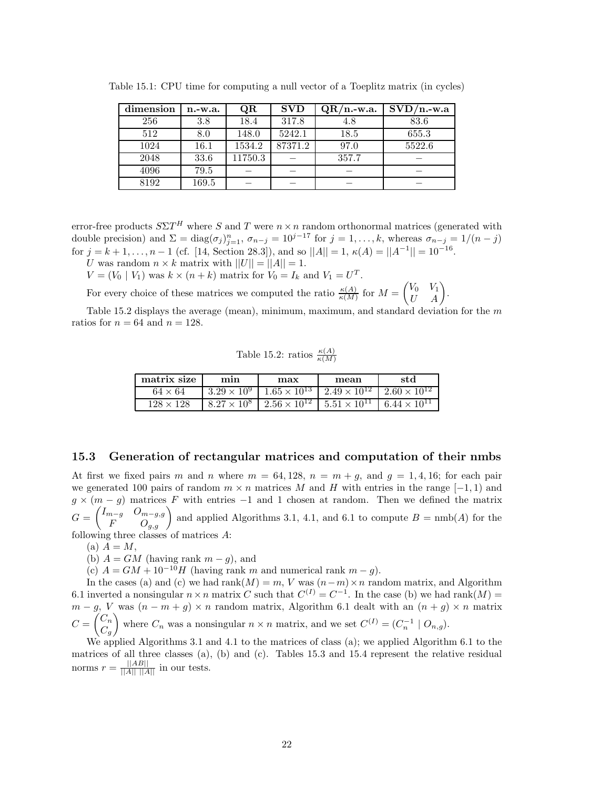| dimension | $n.-w.a.$ | QR      | <b>SVD</b> | $QR/n$ -w.a. | $SVD/n.-w.a$ |
|-----------|-----------|---------|------------|--------------|--------------|
| 256       | 3.8       | 18.4    | 317.8      | 4.8          | 83.6         |
| 512       | 8.0       | 148.0   | 5242.1     | 18.5         | 655.3        |
| 1024      | 16.1      | 1534.2  | 87371.2    | 97.0         | 5522.6       |
| 2048      | 33.6      | 11750.3 |            | 357.7        |              |
| 4096      | 79.5      |         |            |              |              |
| 8192      | 169.5     |         |            |              |              |

Table 15.1: CPU time for computing a null vector of a Toeplitz matrix (in cycles)

error-free products  $S\Sigma T$ <sup>*H*</sup> where *S* and *T* were  $n \times n$  random orthonormal matrices (generated with double precision) and  $\Sigma = \text{diag}(\sigma_j)_{j=1}^n$ ,  $\sigma_{n-j} = 10^{j-17}$  for  $j = 1, ..., k$ , whereas  $\sigma_{n-j} = 1/(n-j)$ for  $j = k + 1, \ldots, n - 1$  (cf. [14, Section 28.3]), and so  $||A|| = 1$ ,  $\kappa(A) = ||A^{-1}|| = 10^{-16}$ .

*U* was random  $n \times k$  matrix with  $||U|| = ||A|| = 1$ .

 $V = (V_0 \mid V_1)$  was  $k \times (n+k)$  matrix for  $V_0 = I_k$  and  $V_1 = U^T$ .

For every choice of these matrices we computed the ratio  $\frac{\kappa(A)}{\kappa(M)}$  for  $M =$  $\begin{pmatrix} V_0 & V_1 \\ U & A \end{pmatrix}$ .

Table 15.2 displays the average (mean), minimum, maximum, and standard deviation for the *m* ratios for  $n = 64$  and  $n = 128$ .

Table 15.2: ratios  $\frac{\kappa(A)}{\kappa(M)}$ 

| matrix size      | mın | max | mean                                                                                       | std                                                                                        |
|------------------|-----|-----|--------------------------------------------------------------------------------------------|--------------------------------------------------------------------------------------------|
| $64 \times 64$   |     |     | $3.29 \times 10^9$   $1.65 \times 10^{13}$   $2.49 \times 10^{12}$   $2.60 \times 10^{12}$ |                                                                                            |
| $128 \times 128$ |     |     |                                                                                            | $8.27 \times 10^8$   $2.56 \times 10^{12}$   $5.51 \times 10^{11}$   $6.44 \times 10^{11}$ |

## **15.3 Generation of rectangular matrices and computation of their nmbs**

At first we fixed pairs *m* and *n* where  $m = 64,128$ ,  $n = m + g$ , and  $g = 1,4,16$ ; for each pair we generated 100 pairs of random  $m \times n$  matrices M and H with entries in the range  $[-1, 1)$  and  $g \times (m - g)$  matrices *F* with entries -1 and 1 chosen at random. Then we defined the matrix  $G =$  $\begin{pmatrix} I_{m-g} & O_{m-g,g} \\ F & O_{g,g} \end{pmatrix}$  and applied Algorithms 3.1, 4.1, and 6.1 to compute *B* = nmb(*A*) for the following three classes of matrices *A*:

 $(a)$   $A = M$ ,

(b)  $A = GM$  (having rank  $m - g$ ), and

(c)  $A = GM + 10^{-10}H$  (having rank *m* and numerical rank  $m - q$ ).

In the cases (a) and (c) we had rank $(M) = m$ ,  $V$  was  $(n-m) \times n$  random matrix, and Algorithm 6.1 inverted a nonsingular  $n \times n$  matrix *C* such that  $C^{(I)} = C^{-1}$ . In the case (b) we had rank $(M) =$  $m - g$ , *V* was  $(n - m + g) \times n$  random matrix, Algorithm 6.1 dealt with an  $(n + g) \times n$  matrix  $C =$  $\left(\begin{matrix} C_n \\ C_n \end{matrix}\right)$  $C_g$ where  $C_n$  was a nonsingular  $n \times n$  matrix, and we set  $C^{(I)} = (C_n^{-1} \mid O_{n,g}).$ 

We applied Algorithms 3.1 and 4.1 to the matrices of class (a); we applied Algorithm 6.1 to the matrices of all three classes (a), (b) and (c). Tables 15.3 and 15.4 represent the relative residual norms  $r = \frac{||AB||}{||A|| ||A||}$  in our tests.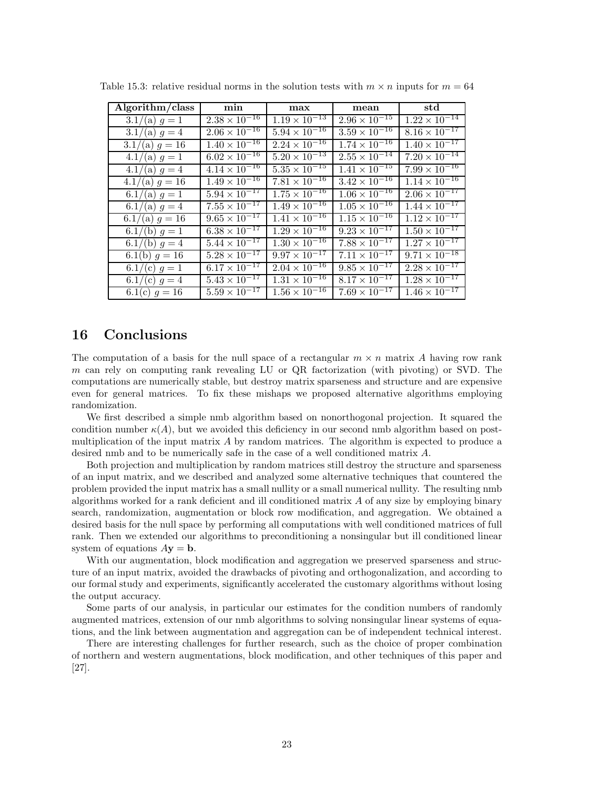| Algorithm/class  | min                               | max                    | mean                   | $_{\rm std}$           |
|------------------|-----------------------------------|------------------------|------------------------|------------------------|
| $3.1/(a) g = 1$  | $2.38 \times 10^{-16}$            | $1.19 \times 10^{-13}$ | $2.96 \times 10^{-15}$ | $1.22 \times 10^{-14}$ |
| $3.1/(a) g = 4$  | $2.06 \times 10^{-16}$            | $5.94 \times 10^{-16}$ | $3.59 \times 10^{-16}$ | $8.16 \times 10^{-17}$ |
| $3.1/(a) g = 16$ | $1.40 \times 10^{-16}$            | $2.24 \times 10^{-16}$ | $1.74 \times 10^{-16}$ | $1.40 \times 10^{-17}$ |
| $4.1/(a) g = 1$  | $6.02 \times 10^{-16}$            | $5.20 \times 10^{-13}$ | $2.55 \times 10^{-14}$ | $7.20 \times 10^{-14}$ |
| $4.1/(a) g = 4$  | $4.14 \times 10^{-16}$            | $5.35 \times 10^{-15}$ | $1.41 \times 10^{-15}$ | $7.99 \times 10^{-16}$ |
| $4.1/(a) g = 16$ | $1.49 \times 10^{-16}$            | $7.81 \times 10^{-16}$ | $3.42 \times 10^{-16}$ | $1.14 \times 10^{-16}$ |
| 6.1/(a) $q = 1$  | $5.94 \times 10^{-17}$            | $1.75 \times 10^{-16}$ | $1.06 \times 10^{-16}$ | $2.06 \times 10^{-17}$ |
| 6.1/(a) $g = 4$  | $7.55 \times 10^{-17}$            | $1.49 \times 10^{-16}$ | $1.05 \times 10^{-16}$ | $1.44 \times 10^{-17}$ |
| $6.1/(a) g = 16$ | $9.65 \times 10^{-17}$            | $1.41 \times 10^{-16}$ | $1.15 \times 10^{-16}$ | $1.12 \times 10^{-17}$ |
| $6.1/(b) g = 1$  | $6.\overline{38} \times 10^{-17}$ | $1.29 \times 10^{-16}$ | $9.23 \times 10^{-17}$ | $1.50 \times 10^{-17}$ |
| 6.1/(b) $g = 4$  | $5.44 \times 10^{-17}$            | $1.30 \times 10^{-16}$ | $7.88 \times 10^{-17}$ | $1.27 \times 10^{-17}$ |
| 6.1(b) $g = 16$  | $5.28 \times 10^{-17}$            | $9.97 \times 10^{-17}$ | $7.11 \times 10^{-17}$ | $9.71 \times 10^{-18}$ |
| 6.1/(c) $g = 1$  | $6.17 \times 10^{-17}$            | $2.04 \times 10^{-16}$ | $9.85 \times 10^{-17}$ | $2.28 \times 10^{-17}$ |
| 6.1/(c) $g = 4$  | $5.43 \times 10^{-17}$            | $1.31 \times 10^{-16}$ | $8.17 \times 10^{-17}$ | $1.28 \times 10^{-17}$ |
| 6.1(c) $g = 16$  | $5.59 \times 10^{-17}$            | $1.56 \times 10^{-16}$ | $7.69 \times 10^{-17}$ | $1.46 \times 10^{-17}$ |

Table 15.3: relative residual norms in the solution tests with  $m \times n$  inputs for  $m = 64$ 

# **16 Conclusions**

The computation of a basis for the null space of a rectangular  $m \times n$  matrix A having row rank *m* can rely on computing rank revealing LU or QR factorization (with pivoting) or SVD. The computations are numerically stable, but destroy matrix sparseness and structure and are expensive even for general matrices. To fix these mishaps we proposed alternative algorithms employing randomization.

We first described a simple nmb algorithm based on nonorthogonal projection. It squared the condition number  $\kappa(A)$ , but we avoided this deficiency in our second nmb algorithm based on postmultiplication of the input matrix *A* by random matrices. The algorithm is expected to produce a desired nmb and to be numerically safe in the case of a well conditioned matrix *A*.

Both projection and multiplication by random matrices still destroy the structure and sparseness of an input matrix, and we described and analyzed some alternative techniques that countered the problem provided the input matrix has a small nullity or a small numerical nullity. The resulting nmb algorithms worked for a rank deficient and ill conditioned matrix *A* of any size by employing binary search, randomization, augmentation or block row modification, and aggregation. We obtained a desired basis for the null space by performing all computations with well conditioned matrices of full rank. Then we extended our algorithms to preconditioning a nonsingular but ill conditioned linear system of equations  $A$ **y** = **b**.

With our augmentation, block modification and aggregation we preserved sparseness and structure of an input matrix, avoided the drawbacks of pivoting and orthogonalization, and according to our formal study and experiments, significantly accelerated the customary algorithms without losing the output accuracy.

Some parts of our analysis, in particular our estimates for the condition numbers of randomly augmented matrices, extension of our nmb algorithms to solving nonsingular linear systems of equations, and the link between augmentation and aggregation can be of independent technical interest.

There are interesting challenges for further research, such as the choice of proper combination of northern and western augmentations, block modification, and other techniques of this paper and [27].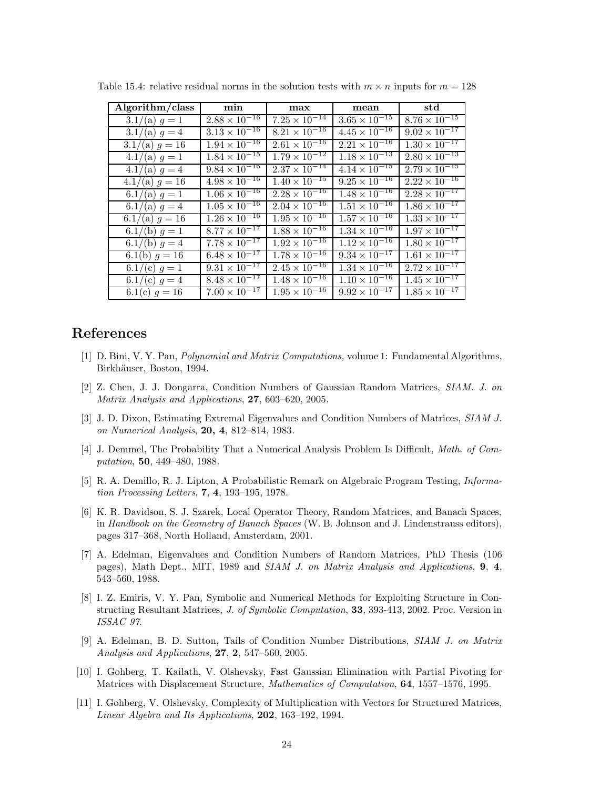| Algorithm/class  | min                               | max                    | mean                   | $\operatorname{std}$   |
|------------------|-----------------------------------|------------------------|------------------------|------------------------|
| $3.1/(a) g = 1$  | $2.88 \times 10^{-16}$            | $7.25 \times 10^{-14}$ | $3.65 \times 10^{-15}$ | $8.76 \times 10^{-15}$ |
| $3.1/(a) g = 4$  | $3.13 \times 10^{-16}$            | $8.21 \times 10^{-16}$ | $4.45 \times 10^{-16}$ | $9.02 \times 10^{-17}$ |
| $3.1/(a) g = 16$ | $1.94 \times 10^{-16}$            | $2.61 \times 10^{-16}$ | $2.21 \times 10^{-16}$ | $1.30 \times 10^{-17}$ |
| $4.1/(a) g = 1$  | $1.84 \times 10^{-15}$            | $1.79 \times 10^{-12}$ | $1.18 \times 10^{-13}$ | $2.80 \times 10^{-13}$ |
| $4.1/(a) g = 4$  | $9.84 \times 10^{-16}$            | $2.37 \times 10^{-14}$ | $4.14 \times 10^{-15}$ | $2.79 \times 10^{-15}$ |
| $4.1/(a) g = 16$ | $4.98 \times 10^{-16}$            | $1.40 \times 10^{-15}$ | $9.25 \times 10^{-16}$ | $2.22 \times 10^{-16}$ |
| $6.1/(a) g = 1$  | $1.\overline{06 \times 10^{-16}}$ | $2.28 \times 10^{-16}$ | $1.48 \times 10^{-16}$ | $2.28 \times 10^{-17}$ |
| 6.1/(a) $g = 4$  | $1.05 \times 10^{-16}$            | $2.04 \times 10^{-16}$ | $1.51 \times 10^{-16}$ | $1.86 \times 10^{-17}$ |
| $6.1/(a) g = 16$ | $1.26 \times 10^{-16}$            | $1.95 \times 10^{-16}$ | $1.57 \times 10^{-16}$ | $1.33 \times 10^{-17}$ |
| 6.1/(b) $g = 1$  | $8.77 \times 10^{-17}$            | $1.88 \times 10^{-16}$ | $1.34 \times 10^{-16}$ | $1.97 \times 10^{-17}$ |
| $6.1/(b) g = 4$  | $7.78 \times 10^{-17}$            | $1.92 \times 10^{-16}$ | $1.12 \times 10^{-16}$ | $1.80 \times 10^{-17}$ |
| 6.1(b) $q = 16$  | $6.48 \times 10^{-17}$            | $1.78 \times 10^{-16}$ | $9.34 \times 10^{-17}$ | $1.61 \times 10^{-17}$ |
| 6.1/(c) $g = 1$  | $9.31 \times 10^{-17}$            | $2.45 \times 10^{-16}$ | $1.34 \times 10^{-16}$ | $2.72 \times 10^{-17}$ |
| 6.1/(c) $g = 4$  | $8.48 \times 10^{-17}$            | $1.48 \times 10^{-16}$ | $1.10 \times 10^{-16}$ | $1.45 \times 10^{-17}$ |
| 6.1(c) $g = 16$  | $7.00 \times 10^{-17}$            | $1.95 \times 10^{-16}$ | $9.92 \times 10^{-17}$ | $1.85 \times 10^{-17}$ |

Table 15.4: relative residual norms in the solution tests with  $m \times n$  inputs for  $m = 128$ 

# **References**

- [1] D. Bini, V. Y. Pan, *Polynomial and Matrix Computations,* volume 1: Fundamental Algorithms, Birkhäuser, Boston, 1994.
- [2] Z. Chen, J. J. Dongarra, Condition Numbers of Gaussian Random Matrices, *SIAM. J. on Matrix Analysis and Applications*, **27**, 603–620, 2005.
- [3] J. D. Dixon, Estimating Extremal Eigenvalues and Condition Numbers of Matrices, *SIAM J. on Numerical Analysis*, **20, 4**, 812–814, 1983.
- [4] J. Demmel, The Probability That a Numerical Analysis Problem Is Difficult, *Math. of Computation*, **50**, 449–480, 1988.
- [5] R. A. Demillo, R. J. Lipton, A Probabilistic Remark on Algebraic Program Testing, *Information Processing Letters*, **7**, **4**, 193–195, 1978.
- [6] K. R. Davidson, S. J. Szarek, Local Operator Theory, Random Matrices, and Banach Spaces, in *Handbook on the Geometry of Banach Spaces* (W. B. Johnson and J. Lindenstrauss editors), pages 317–368, North Holland, Amsterdam, 2001.
- [7] A. Edelman, Eigenvalues and Condition Numbers of Random Matrices, PhD Thesis (106 pages), Math Dept., MIT, 1989 and *SIAM J. on Matrix Analysis and Applications*, **9**, **4**, 543–560, 1988.
- [8] I. Z. Emiris, V. Y. Pan, Symbolic and Numerical Methods for Exploiting Structure in Constructing Resultant Matrices, *J. of Symbolic Computation*, **33**, 393-413, 2002. Proc. Version in *ISSAC 97*.
- [9] A. Edelman, B. D. Sutton, Tails of Condition Number Distributions, *SIAM J. on Matrix Analysis and Applications*, **27**, **2**, 547–560, 2005.
- [10] I. Gohberg, T. Kailath, V. Olshevsky, Fast Gaussian Elimination with Partial Pivoting for Matrices with Displacement Structure, *Mathematics of Computation*, **64**, 1557–1576, 1995.
- [11] I. Gohberg, V. Olshevsky, Complexity of Multiplication with Vectors for Structured Matrices, *Linear Algebra and Its Applications*, **202**, 163–192, 1994.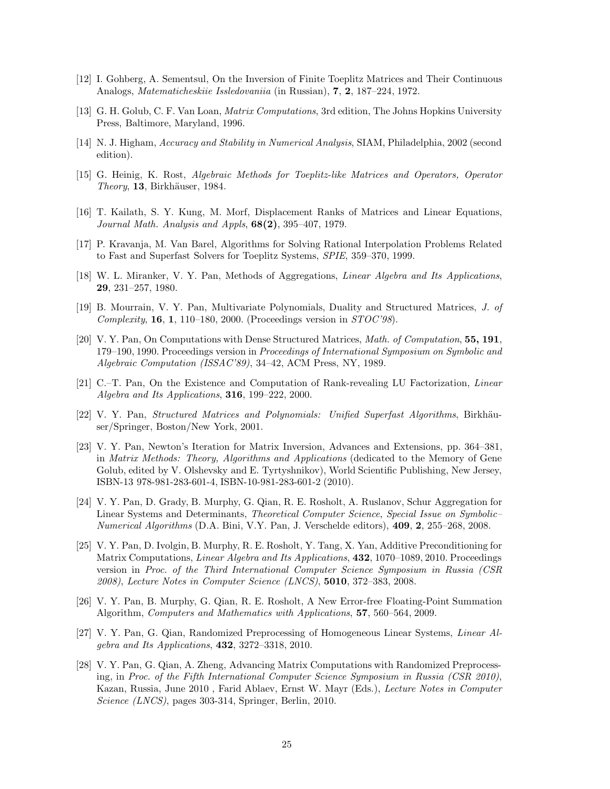- [12] I. Gohberg, A. Sementsul, On the Inversion of Finite Toeplitz Matrices and Their Continuous Analogs, *Matematicheskiie Issledovaniia* (in Russian), **7**, **2**, 187–224, 1972.
- [13] G. H. Golub, C. F. Van Loan, *Matrix Computations*, 3rd edition, The Johns Hopkins University Press, Baltimore, Maryland, 1996.
- [14] N. J. Higham, *Accuracy and Stability in Numerical Analysis*, SIAM, Philadelphia, 2002 (second edition).
- [15] G. Heinig, K. Rost, *Algebraic Methods for Toeplitz-like Matrices and Operators, Operator Theory*, **13**, Birkhäuser, 1984.
- [16] T. Kailath, S. Y. Kung, M. Morf, Displacement Ranks of Matrices and Linear Equations, *Journal Math. Analysis and Appls*, **68(2)**, 395–407, 1979.
- [17] P. Kravanja, M. Van Barel, Algorithms for Solving Rational Interpolation Problems Related to Fast and Superfast Solvers for Toeplitz Systems, *SPIE*, 359–370, 1999.
- [18] W. L. Miranker, V. Y. Pan, Methods of Aggregations, *Linear Algebra and Its Applications*, **29**, 231–257, 1980.
- [19] B. Mourrain, V. Y. Pan, Multivariate Polynomials, Duality and Structured Matrices, *J. of Complexity*, **16**, **1**, 110–180, 2000. (Proceedings version in *STOC'98*).
- [20] V. Y. Pan, On Computations with Dense Structured Matrices, *Math. of Computation*, **55, 191**, 179–190, 1990. Proceedings version in *Proceedings of International Symposium on Symbolic and Algebraic Computation (ISSAC'89)*, 34–42, ACM Press, NY, 1989.
- [21] C.–T. Pan, On the Existence and Computation of Rank-revealing LU Factorization, *Linear Algebra and Its Applications*, **316**, 199–222, 2000.
- [22] V. Y. Pan, *Structured Matrices and Polynomials: Unified Superfast Algorithms*, Birkhäuser/Springer, Boston/New York, 2001.
- [23] V. Y. Pan, Newton's Iteration for Matrix Inversion, Advances and Extensions, pp. 364–381, in *Matrix Methods: Theory, Algorithms and Applications* (dedicated to the Memory of Gene Golub, edited by V. Olshevsky and E. Tyrtyshnikov), World Scientific Publishing, New Jersey, ISBN-13 978-981-283-601-4, ISBN-10-981-283-601-2 (2010).
- [24] V. Y. Pan, D. Grady, B. Murphy, G. Qian, R. E. Rosholt, A. Ruslanov, Schur Aggregation for Linear Systems and Determinants, *Theoretical Computer Science*, *Special Issue on Symbolic– Numerical Algorithms* (D.A. Bini, V.Y. Pan, J. Verschelde editors), **409**, **2**, 255–268, 2008.
- [25] V. Y. Pan, D. Ivolgin, B. Murphy, R. E. Rosholt, Y. Tang, X. Yan, Additive Preconditioning for Matrix Computations, *Linear Algebra and Its Applications*, **432**, 1070–1089, 2010. Proceedings version in *Proc. of the Third International Computer Science Symposium in Russia (CSR 2008)*, *Lecture Notes in Computer Science (LNCS)*, **5010**, 372–383, 2008.
- [26] V. Y. Pan, B. Murphy, G. Qian, R. E. Rosholt, A New Error-free Floating-Point Summation Algorithm, *Computers and Mathematics with Applications*, **57**, 560–564, 2009.
- [27] V. Y. Pan, G. Qian, Randomized Preprocessing of Homogeneous Linear Systems, *Linear Algebra and Its Applications*, **432**, 3272–3318, 2010.
- [28] V. Y. Pan, G. Qian, A. Zheng, Advancing Matrix Computations with Randomized Preprocessing, in *Proc. of the Fifth International Computer Science Symposium in Russia (CSR 2010)*, Kazan, Russia, June 2010 , Farid Ablaev, Ernst W. Mayr (Eds.), *Lecture Notes in Computer Science (LNCS)*, pages 303-314, Springer, Berlin, 2010.